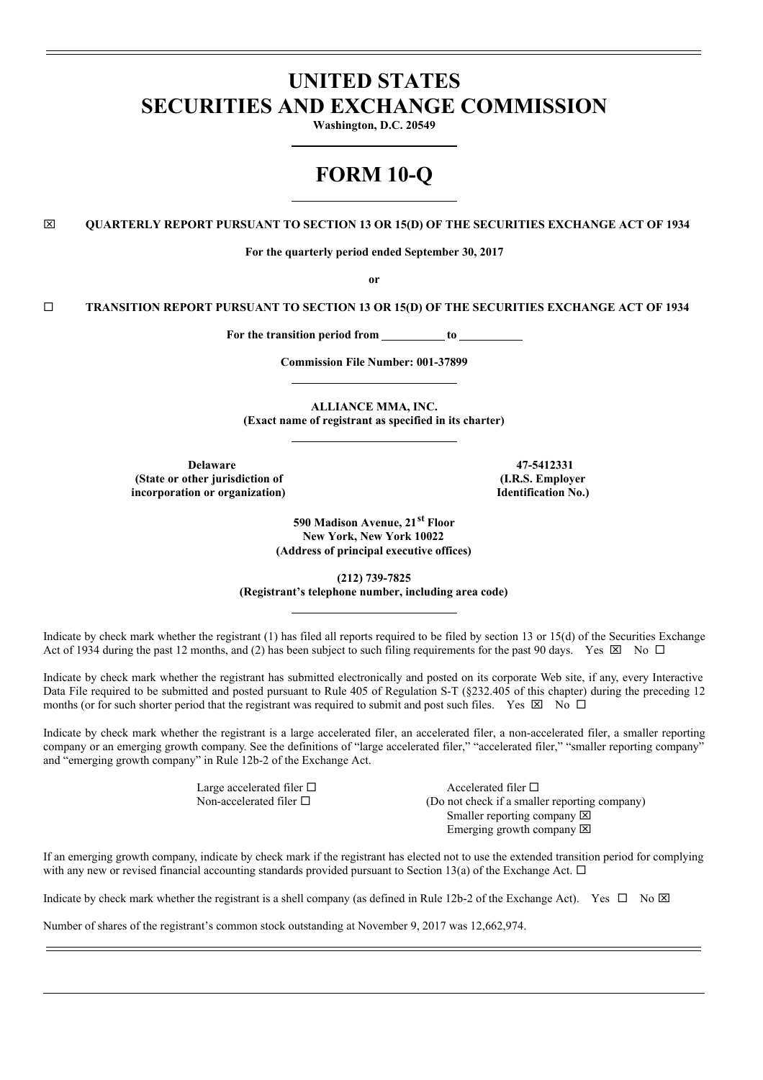# **UNITED STATES SECURITIES AND EXCHANGE COMMISSION**

**Washington, D.C. 20549**

# **FORM 10-Q**

x **QUARTERLY REPORT PURSUANT TO SECTION 13 OR 15(D) OF THE SECURITIES EXCHANGE ACT OF 1934**

**For the quarterly period ended September 30, 2017**

**or**

¨ **TRANSITION REPORT PURSUANT TO SECTION 13 OR 15(D) OF THE SECURITIES EXCHANGE ACT OF 1934**

**For the transition period from to**

**Commission File Number: 001-37899**

**ALLIANCE MMA, INC. (Exact name of registrant as specified in its charter)**

**Delaware 47-5412331 (State or other jurisdiction of incorporation or organization)**

**(I.R.S. Employer Identification No.)**

**590 Madison Avenue, 21 st Floor New York, New York 10022 (Address of principal executive offices)**

**(212) 739-7825**

**(Registrant's telephone number, including area code)**

Indicate by check mark whether the registrant (1) has filed all reports required to be filed by section 13 or 15(d) of the Securities Exchange Act of 1934 during the past 12 months, and (2) has been subject to such filing requirements for the past 90 days. Yes  $\boxtimes$  No  $\Box$ 

Indicate by check mark whether the registrant has submitted electronically and posted on its corporate Web site, if any, every Interactive Data File required to be submitted and posted pursuant to Rule 405 of Regulation S-T (§232.405 of this chapter) during the preceding 12 months (or for such shorter period that the registrant was required to submit and post such files. Yes  $\boxtimes$  No  $\Box$ 

Indicate by check mark whether the registrant is a large accelerated filer, an accelerated filer, a non-accelerated filer, a smaller reporting company or an emerging growth company. See the definitions of "large accelerated filer," "accelerated filer," "smaller reporting company" and "emerging growth company" in Rule 12b-2 of the Exchange Act.

Large accelerated filer  $\square$  Accelerated filer  $\square$ 

Non-accelerated filer  $\square$  (Do not check if a smaller reporting company) Smaller reporting company  $\boxtimes$ Emerging growth company  $\boxtimes$ 

If an emerging growth company, indicate by check mark if the registrant has elected not to use the extended transition period for complying with any new or revised financial accounting standards provided pursuant to Section 13(a) of the Exchange Act.  $\Box$ 

Indicate by check mark whether the registrant is a shell company (as defined in Rule 12b-2 of the Exchange Act). Yes  $\Box$  No  $\boxtimes$ 

Number of shares of the registrant's common stock outstanding at November 9, 2017 was 12,662,974.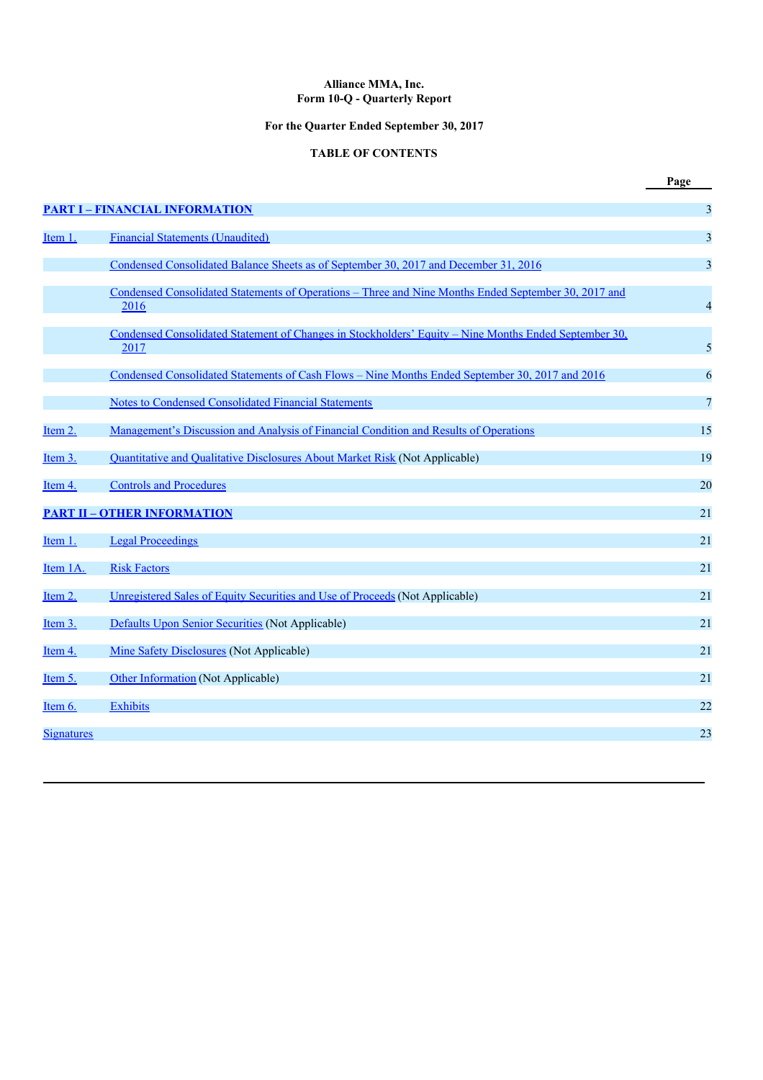# **Alliance MMA, Inc. Form 10-Q - Quarterly Report**

# **For the Quarter Ended September 30, 2017**

# **TABLE OF CONTENTS**

|                   |                                                                                                               | Page           |
|-------------------|---------------------------------------------------------------------------------------------------------------|----------------|
|                   | <b>PART I - FINANCIAL INFORMATION</b>                                                                         | 3              |
| Item 1.           | <b>Financial Statements (Unaudited)</b>                                                                       | 3              |
|                   | Condensed Consolidated Balance Sheets as of September 30, 2017 and December 31, 2016                          | 3              |
|                   | Condensed Consolidated Statements of Operations - Three and Nine Months Ended September 30, 2017 and<br>2016  | $\overline{4}$ |
|                   | Condensed Consolidated Statement of Changes in Stockholders' Equity – Nine Months Ended September 30,<br>2017 | 5              |
|                   | Condensed Consolidated Statements of Cash Flows - Nine Months Ended September 30, 2017 and 2016               | 6              |
|                   | <b>Notes to Condensed Consolidated Financial Statements</b>                                                   | $\overline{7}$ |
| Item 2.           | Management's Discussion and Analysis of Financial Condition and Results of Operations                         | 15             |
| Item 3.           | Quantitative and Qualitative Disclosures About Market Risk (Not Applicable)                                   | 19             |
| Item 4.           | <b>Controls and Procedures</b>                                                                                | 20             |
|                   | <b>PART II - OTHER INFORMATION</b>                                                                            | 21             |
| Item 1.           | <b>Legal Proceedings</b>                                                                                      | 21             |
| Item 1A.          | <b>Risk Factors</b>                                                                                           | 21             |
| Item 2.           | Unregistered Sales of Equity Securities and Use of Proceeds (Not Applicable)                                  | 21             |
| Item 3.           | Defaults Upon Senior Securities (Not Applicable)                                                              | 21             |
| Item 4.           | Mine Safety Disclosures (Not Applicable)                                                                      | 21             |
| Item 5.           | Other Information (Not Applicable)                                                                            | 21             |
| Item 6.           | Exhibits                                                                                                      | 22             |
| <b>Signatures</b> |                                                                                                               | 23             |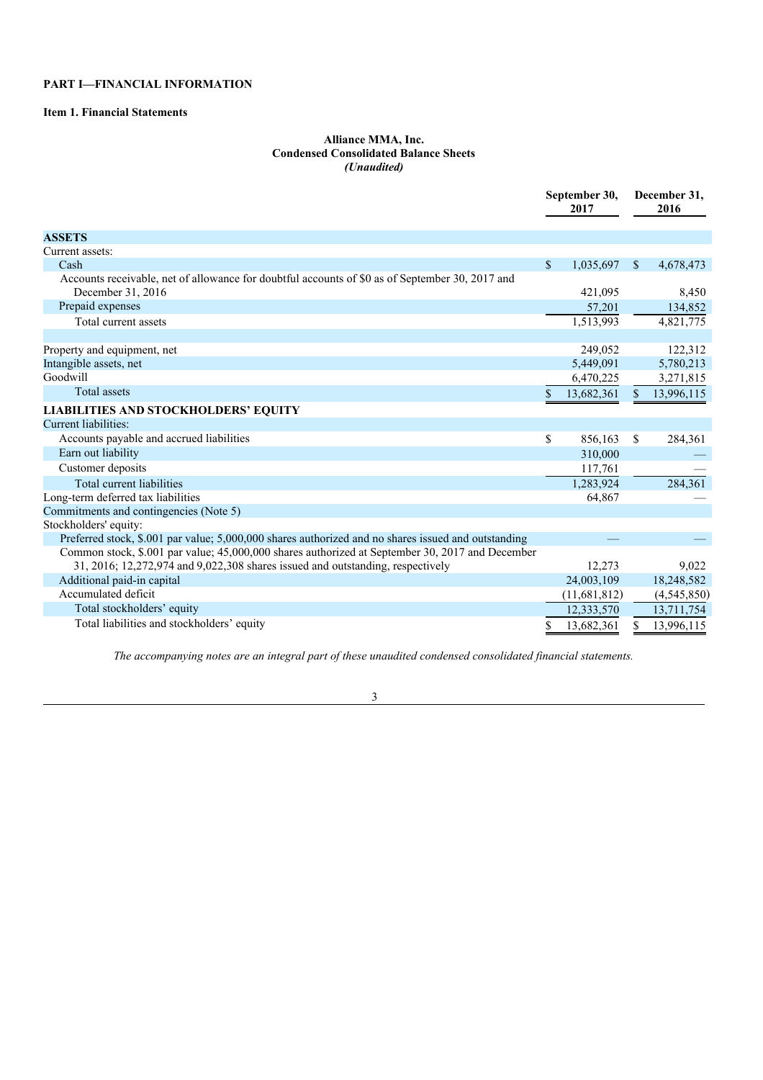# **PART I—FINANCIAL INFORMATION**

# **Item 1. Financial Statements**

# **Alliance MMA, Inc. Condensed Consolidated Balance Sheets** *(Unaudited)*

|                                                                                                                      |    | September 30,<br>2017 |              | December 31,<br>2016 |  |
|----------------------------------------------------------------------------------------------------------------------|----|-----------------------|--------------|----------------------|--|
| <b>ASSETS</b>                                                                                                        |    |                       |              |                      |  |
| Current assets:                                                                                                      |    |                       |              |                      |  |
| Cash                                                                                                                 | \$ | 1,035,697             | $\mathbb{S}$ | 4,678,473            |  |
| Accounts receivable, net of allowance for doubtful accounts of \$0 as of September 30, 2017 and<br>December 31, 2016 |    | 421,095               |              | 8,450                |  |
| Prepaid expenses                                                                                                     |    | 57,201                |              | 134,852              |  |
| Total current assets                                                                                                 |    | 1,513,993             |              | 4,821,775            |  |
|                                                                                                                      |    |                       |              |                      |  |
| Property and equipment, net                                                                                          |    | 249,052               |              | 122,312              |  |
| Intangible assets, net                                                                                               |    | 5,449,091             |              | 5,780,213            |  |
| Goodwill                                                                                                             |    | 6,470,225             |              | 3,271,815            |  |
| <b>Total assets</b>                                                                                                  | S  | 13,682,361            | S.           | 13,996,115           |  |
| <b>LIABILITIES AND STOCKHOLDERS' EQUITY</b>                                                                          |    |                       |              |                      |  |
| Current liabilities:                                                                                                 |    |                       |              |                      |  |
| Accounts payable and accrued liabilities                                                                             | \$ | 856,163               | \$           | 284,361              |  |
| Earn out liability                                                                                                   |    | 310,000               |              |                      |  |
| Customer deposits                                                                                                    |    | 117,761               |              |                      |  |
| Total current liabilities                                                                                            |    | 1,283,924             |              | 284,361              |  |
| Long-term deferred tax liabilities                                                                                   |    | 64,867                |              |                      |  |
| Commitments and contingencies (Note 5)                                                                               |    |                       |              |                      |  |
| Stockholders' equity:                                                                                                |    |                       |              |                      |  |
| Preferred stock, \$.001 par value; 5,000,000 shares authorized and no shares issued and outstanding                  |    |                       |              |                      |  |
| Common stock, \$.001 par value; 45,000,000 shares authorized at September 30, 2017 and December                      |    |                       |              |                      |  |
| 31, 2016; 12,272,974 and 9,022,308 shares issued and outstanding, respectively                                       |    | 12,273                |              | 9,022                |  |
| Additional paid-in capital                                                                                           |    | 24,003,109            |              | 18,248,582           |  |
| Accumulated deficit                                                                                                  |    | (11,681,812)          |              | (4,545,850)          |  |
| Total stockholders' equity                                                                                           |    | 12,333,570            |              | 13,711,754           |  |
| Total liabilities and stockholders' equity                                                                           | \$ | 13,682,361            | \$           | 13,996,115           |  |

*The accompanying notes are an integral part of these unaudited condensed consolidated financial statements.*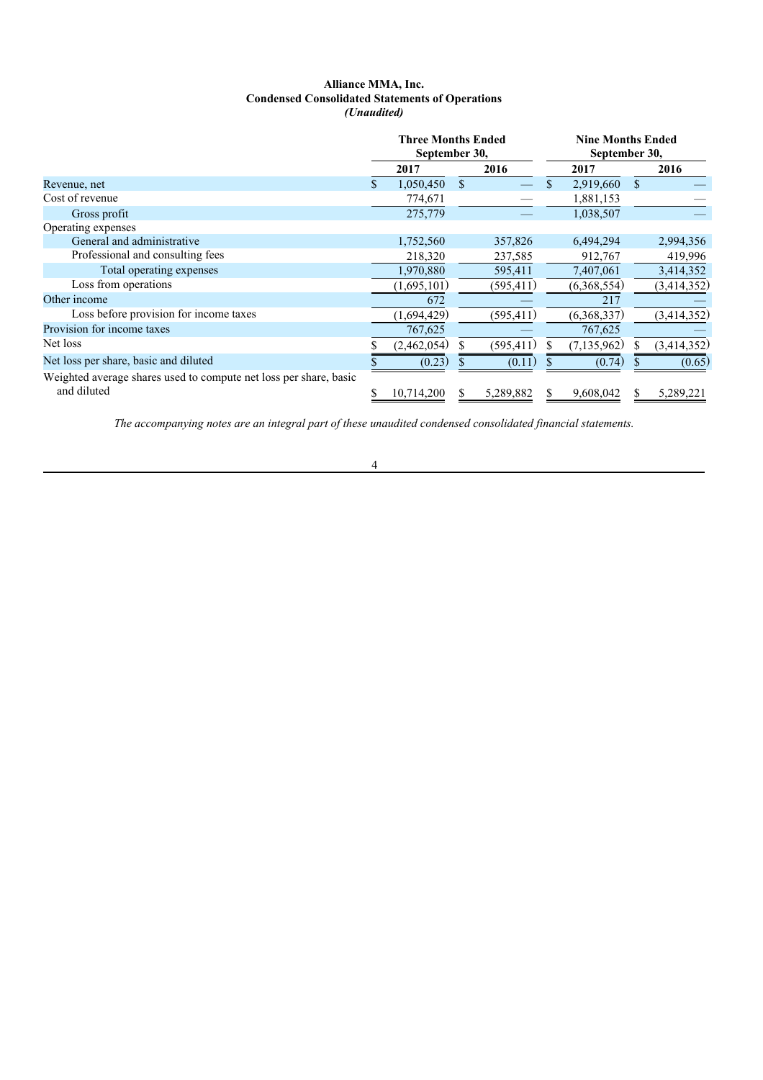# **Alliance MMA, Inc. Condensed Consolidated Statements of Operations** *(Unaudited)*

|                                                                                  | <b>Three Months Ended</b><br>September 30, |             |     | <b>Nine Months Ended</b><br>September 30, |    |               |               |               |
|----------------------------------------------------------------------------------|--------------------------------------------|-------------|-----|-------------------------------------------|----|---------------|---------------|---------------|
|                                                                                  |                                            | 2017        |     | 2016                                      |    | 2017          |               | 2016          |
| Revenue, net                                                                     |                                            | 1,050,450   | \$. |                                           | S. | 2,919,660     | <sup>\$</sup> |               |
| Cost of revenue                                                                  |                                            | 774,671     |     |                                           |    | 1,881,153     |               |               |
| Gross profit                                                                     |                                            | 275,779     |     |                                           |    | 1,038,507     |               |               |
| Operating expenses                                                               |                                            |             |     |                                           |    |               |               |               |
| General and administrative                                                       |                                            | 1,752,560   |     | 357,826                                   |    | 6,494,294     |               | 2,994,356     |
| Professional and consulting fees                                                 |                                            | 218,320     |     | 237,585                                   |    | 912,767       |               | 419,996       |
| Total operating expenses                                                         |                                            | 1,970,880   |     | 595,411                                   |    | 7,407,061     |               | 3,414,352     |
| Loss from operations                                                             |                                            | (1,695,101) |     | (595,411)                                 |    | (6,368,554)   |               | (3, 414, 352) |
| Other income                                                                     |                                            | 672         |     |                                           |    | 217           |               |               |
| Loss before provision for income taxes                                           |                                            | (1,694,429) |     | (595, 411)                                |    | (6,368,337)   |               | (3,414,352)   |
| Provision for income taxes                                                       |                                            | 767,625     |     |                                           |    | 767,625       |               |               |
| Net loss                                                                         |                                            | (2,462,054) |     | (595, 411)                                |    | (7, 135, 962) |               | (3,414,352)   |
| Net loss per share, basic and diluted                                            |                                            | (0.23)      |     | (0.11)                                    |    | (0.74)        |               | (0.65)        |
| Weighted average shares used to compute net loss per share, basic<br>and diluted |                                            | 10,714,200  |     | 5,289,882                                 |    | 9,608,042     |               | 5,289,221     |

*The accompanying notes are an integral part of these unaudited condensed consolidated financial statements.*

# 4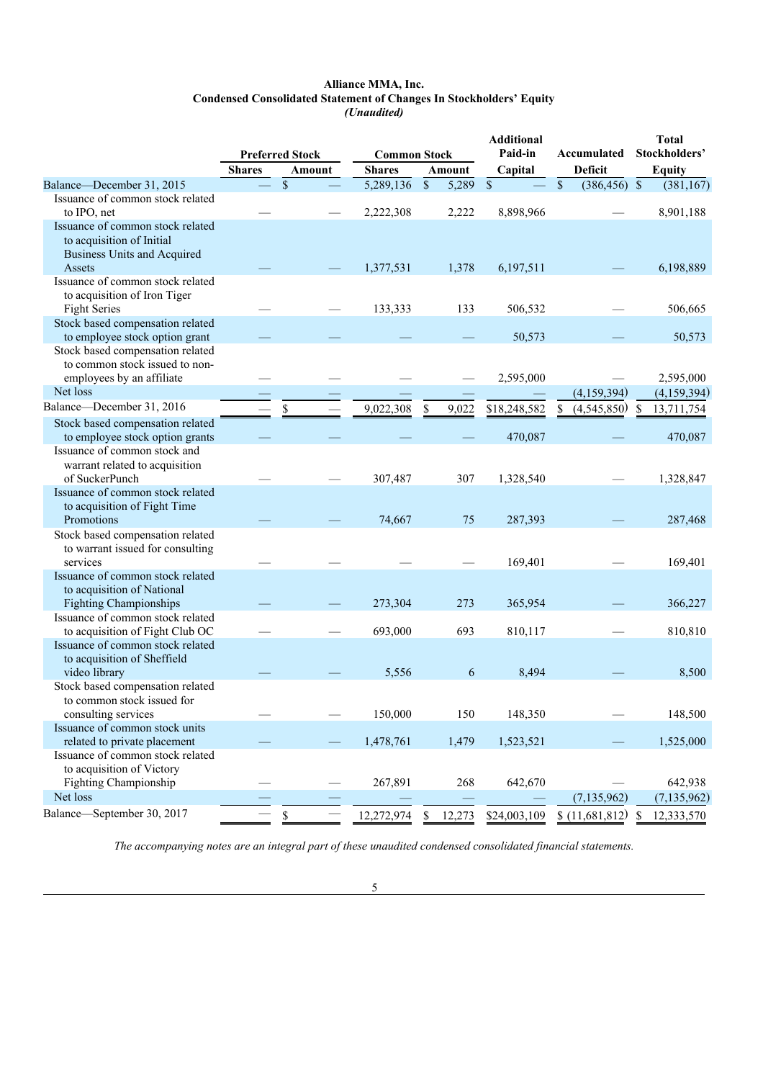# **Alliance MMA, Inc. Condensed Consolidated Statement of Changes In Stockholders' Equity** *(Unaudited)*

|                                                                                                      |               | <b>Preferred Stock</b><br><b>Common Stock</b> |               | <b>Additional</b><br>Paid-in | Accumulated   | <b>Total</b><br>Stockholders'      |               |
|------------------------------------------------------------------------------------------------------|---------------|-----------------------------------------------|---------------|------------------------------|---------------|------------------------------------|---------------|
|                                                                                                      | <b>Shares</b> | <b>Amount</b>                                 | <b>Shares</b> | Amount                       | Capital       | <b>Deficit</b>                     | <b>Equity</b> |
| Balance-December 31, 2015                                                                            |               | $\mathbb{S}$                                  | 5,289,136     | $\sqrt{\ }$<br>5,289         | $\mathsf{\$}$ | $\overline{\$}$<br>$(386, 456)$ \$ | (381, 167)    |
| Issuance of common stock related<br>to IPO, net                                                      |               |                                               | 2,222,308     | 2,222                        | 8,898,966     |                                    | 8,901,188     |
| Issuance of common stock related<br>to acquisition of Initial<br><b>Business Units and Acquired</b>  |               |                                               |               |                              |               |                                    |               |
| Assets                                                                                               |               |                                               | 1,377,531     | 1,378                        | 6,197,511     |                                    | 6,198,889     |
| Issuance of common stock related<br>to acquisition of Iron Tiger<br><b>Fight Series</b>              |               |                                               | 133,333       | 133                          | 506,532       |                                    | 506,665       |
| Stock based compensation related                                                                     |               |                                               |               |                              |               |                                    |               |
| to employee stock option grant<br>Stock based compensation related<br>to common stock issued to non- |               |                                               |               |                              | 50,573        |                                    | 50,573        |
| employees by an affiliate                                                                            |               |                                               |               |                              | 2,595,000     |                                    | 2,595,000     |
| Net loss                                                                                             |               |                                               |               |                              |               | (4,159,394)                        | (4,159,394)   |
| Balance-December 31, 2016                                                                            |               | \$                                            | 9,022,308     | \$<br>9,022                  | \$18,248,582  | $(4,545,850)$ \$<br>\$             | 13,711,754    |
| Stock based compensation related<br>to employee stock option grants                                  |               |                                               |               |                              | 470,087       |                                    | 470,087       |
| Issuance of common stock and<br>warrant related to acquisition<br>of SuckerPunch                     |               |                                               | 307,487       | 307                          | 1,328,540     |                                    | 1,328,847     |
| Issuance of common stock related<br>to acquisition of Fight Time<br>Promotions                       |               |                                               | 74,667        | 75                           | 287,393       |                                    | 287,468       |
| Stock based compensation related<br>to warrant issued for consulting<br>services                     |               |                                               |               |                              | 169,401       |                                    | 169,401       |
| Issuance of common stock related<br>to acquisition of National<br><b>Fighting Championships</b>      |               |                                               | 273,304       | 273                          | 365,954       |                                    | 366,227       |
| Issuance of common stock related                                                                     |               |                                               |               |                              |               |                                    |               |
| to acquisition of Fight Club OC                                                                      |               |                                               | 693,000       | 693                          | 810,117       |                                    | 810,810       |
| Issuance of common stock related<br>to acquisition of Sheffield<br>video library                     |               |                                               | 5,556         | 6                            | 8,494         |                                    | 8,500         |
| Stock based compensation related<br>to common stock issued for                                       |               |                                               | 150,000       | 150                          | 148,350       |                                    | 148,500       |
| consulting services<br>Issuance of common stock units                                                |               |                                               |               |                              |               |                                    |               |
| related to private placement<br>Issuance of common stock related                                     |               |                                               | 1,478,761     | 1,479                        | 1,523,521     |                                    | 1,525,000     |
| to acquisition of Victory<br>Fighting Championship                                                   |               |                                               | 267,891       | 268                          | 642,670       |                                    | 642,938       |
| Net loss                                                                                             |               |                                               |               |                              |               | (7, 135, 962)                      | (7, 135, 962) |
| Balance-September 30, 2017                                                                           |               | $\mathbb{S}$                                  | 12,272,974    | 12,273<br>\$                 | \$24,003,109  | $$(11,681,812)$ \\$                | 12,333,570    |

*The accompanying notes are an integral part of these unaudited condensed consolidated financial statements.*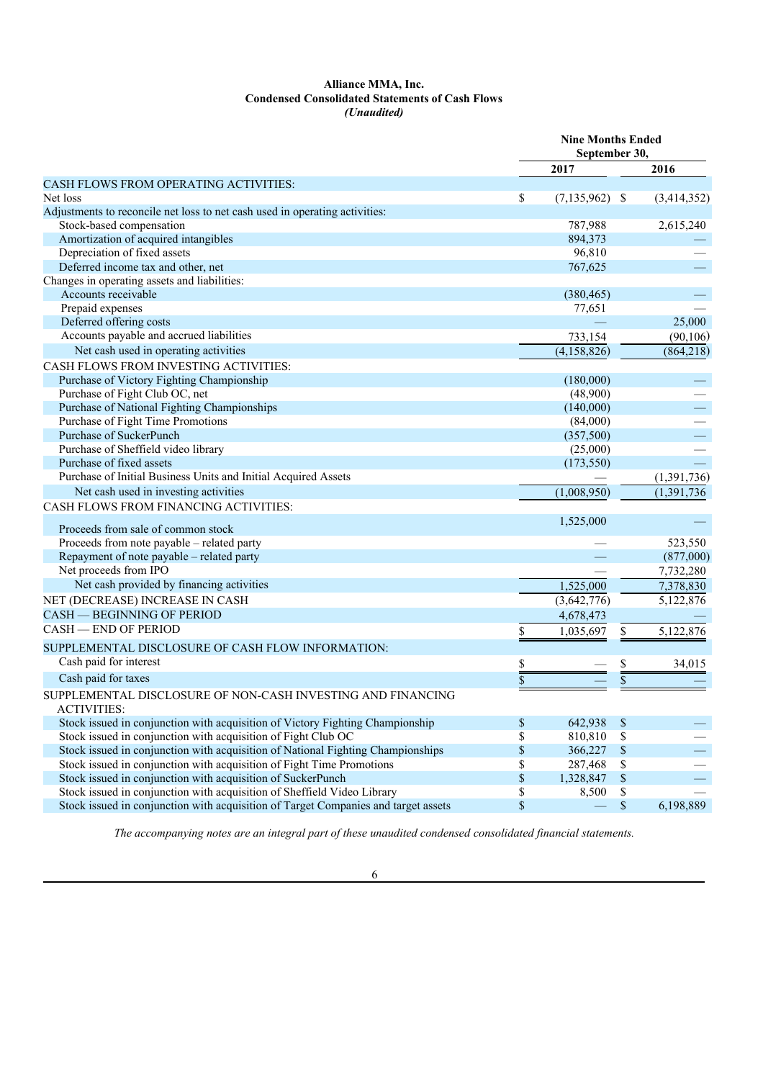# **Alliance MMA, Inc. Condensed Consolidated Statements of Cash Flows** *(Unaudited)*

|                                                                                    | <b>Nine Months Ended</b><br>September 30, |                  |      |             |
|------------------------------------------------------------------------------------|-------------------------------------------|------------------|------|-------------|
|                                                                                    |                                           | 2017             |      | 2016        |
| CASH FLOWS FROM OPERATING ACTIVITIES:                                              |                                           |                  |      |             |
| Net loss                                                                           | \$                                        | $(7,135,962)$ \$ |      | (3,414,352) |
| Adjustments to reconcile net loss to net cash used in operating activities:        |                                           |                  |      |             |
| Stock-based compensation                                                           |                                           | 787,988          |      | 2,615,240   |
| Amortization of acquired intangibles                                               |                                           | 894,373          |      |             |
| Depreciation of fixed assets                                                       |                                           | 96,810           |      |             |
| Deferred income tax and other, net                                                 |                                           | 767,625          |      |             |
| Changes in operating assets and liabilities:                                       |                                           |                  |      |             |
| Accounts receivable                                                                |                                           | (380, 465)       |      |             |
| Prepaid expenses                                                                   |                                           | 77,651           |      |             |
| Deferred offering costs                                                            |                                           |                  |      | 25,000      |
| Accounts payable and accrued liabilities                                           |                                           | 733,154          |      | (90, 106)   |
| Net cash used in operating activities                                              |                                           | (4, 158, 826)    |      | (864,218)   |
| CASH FLOWS FROM INVESTING ACTIVITIES:                                              |                                           |                  |      |             |
| Purchase of Victory Fighting Championship                                          |                                           | (180,000)        |      |             |
| Purchase of Fight Club OC, net                                                     |                                           | (48,900)         |      |             |
| Purchase of National Fighting Championships                                        |                                           | (140,000)        |      |             |
| Purchase of Fight Time Promotions                                                  |                                           | (84,000)         |      |             |
| Purchase of SuckerPunch                                                            |                                           | (357,500)        |      |             |
| Purchase of Sheffield video library                                                |                                           | (25,000)         |      |             |
| Purchase of fixed assets                                                           |                                           | (173, 550)       |      |             |
| Purchase of Initial Business Units and Initial Acquired Assets                     |                                           |                  |      | (1,391,736) |
| Net cash used in investing activities                                              |                                           | (1,008,950)      |      | (1,391,736) |
| CASH FLOWS FROM FINANCING ACTIVITIES:                                              |                                           |                  |      |             |
|                                                                                    |                                           |                  |      |             |
| Proceeds from sale of common stock                                                 |                                           | 1,525,000        |      |             |
| Proceeds from note payable - related party                                         |                                           |                  |      | 523,550     |
| Repayment of note payable - related party                                          |                                           |                  |      | (877,000)   |
| Net proceeds from IPO                                                              |                                           |                  |      | 7,732,280   |
| Net cash provided by financing activities                                          |                                           | 1,525,000        |      | 7,378,830   |
| NET (DECREASE) INCREASE IN CASH                                                    |                                           | (3,642,776)      |      | 5,122,876   |
| <b>CASH — BEGINNING OF PERIOD</b>                                                  |                                           | 4,678,473        |      |             |
| CASH - END OF PERIOD                                                               |                                           | 1,035,697        |      | 5,122,876   |
|                                                                                    | \$                                        |                  | \$   |             |
| SUPPLEMENTAL DISCLOSURE OF CASH FLOW INFORMATION:                                  |                                           |                  |      |             |
| Cash paid for interest                                                             | \$                                        |                  | \$   | 34,015      |
| Cash paid for taxes                                                                | \$                                        |                  | \$   |             |
| SUPPLEMENTAL DISCLOSURE OF NON-CASH INVESTING AND FINANCING                        |                                           |                  |      |             |
| <b>ACTIVITIES:</b>                                                                 |                                           |                  |      |             |
| Stock issued in conjunction with acquisition of Victory Fighting Championship      | \$                                        | 642,938          | \$   |             |
| Stock issued in conjunction with acquisition of Fight Club OC                      | \$                                        | 810,810          | \$   |             |
| Stock issued in conjunction with acquisition of National Fighting Championships    | $\mathbb S$                               | 366,227          | $\$$ |             |
| Stock issued in conjunction with acquisition of Fight Time Promotions              | \$                                        | 287,468          | \$   |             |
| Stock issued in conjunction with acquisition of SuckerPunch                        | $\,$                                      | 1,328,847        | \$   |             |
| Stock issued in conjunction with acquisition of Sheffield Video Library            | \$                                        | 8,500            | \$   |             |
| Stock issued in conjunction with acquisition of Target Companies and target assets | \$                                        |                  | \$   | 6,198,889   |

*The accompanying notes are an integral part of these unaudited condensed consolidated financial statements.*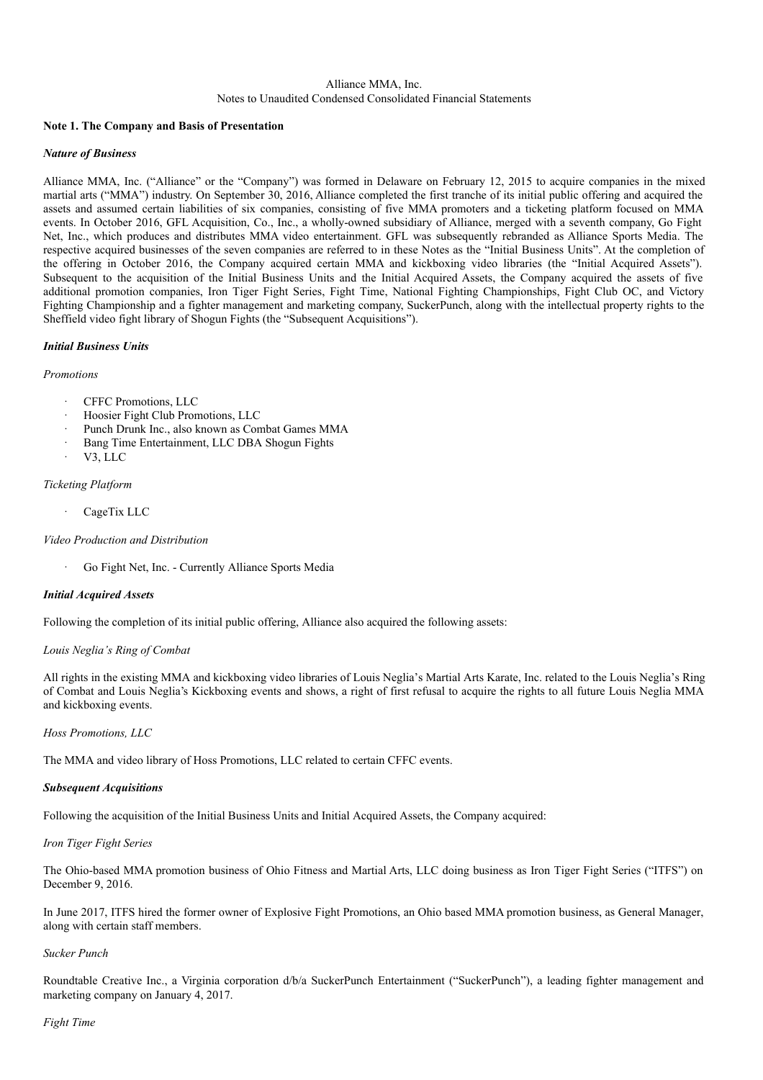# Alliance MMA, Inc. Notes to Unaudited Condensed Consolidated Financial Statements

# **Note 1. The Company and Basis of Presentation**

# *Nature of Business*

Alliance MMA, Inc. ("Alliance" or the "Company") was formed in Delaware on February 12, 2015 to acquire companies in the mixed martial arts ("MMA") industry. On September 30, 2016, Alliance completed the first tranche of its initial public offering and acquired the assets and assumed certain liabilities of six companies, consisting of five MMA promoters and a ticketing platform focused on MMA events. In October 2016, GFL Acquisition, Co., Inc., a wholly-owned subsidiary of Alliance, merged with a seventh company, Go Fight Net, Inc., which produces and distributes MMA video entertainment. GFL was subsequently rebranded as Alliance Sports Media. The respective acquired businesses of the seven companies are referred to in these Notes as the "Initial Business Units". At the completion of the offering in October 2016, the Company acquired certain MMA and kickboxing video libraries (the "Initial Acquired Assets"). Subsequent to the acquisition of the Initial Business Units and the Initial Acquired Assets, the Company acquired the assets of five additional promotion companies, Iron Tiger Fight Series, Fight Time, National Fighting Championships, Fight Club OC, and Victory Fighting Championship and a fighter management and marketing company, SuckerPunch, along with the intellectual property rights to the Sheffield video fight library of Shogun Fights (the "Subsequent Acquisitions").

# *Initial Business Units*

#### *Promotions*

- CFFC Promotions, LLC
- Hoosier Fight Club Promotions, LLC
- Punch Drunk Inc., also known as Combat Games MMA
- Bang Time Entertainment, LLC DBA Shogun Fights
- · V3, LLC

#### *Ticketing Platform*

CageTix LLC

#### *Video Production and Distribution*

Go Fight Net, Inc. - Currently Alliance Sports Media

#### *Initial Acquired Assets*

Following the completion of its initial public offering, Alliance also acquired the following assets:

#### *Louis Neglia's Ring of Combat*

All rights in the existing MMA and kickboxing video libraries of Louis Neglia's Martial Arts Karate, Inc. related to the Louis Neglia's Ring of Combat and Louis Neglia's Kickboxing events and shows, a right of first refusal to acquire the rights to all future Louis Neglia MMA and kickboxing events.

# *Hoss Promotions, LLC*

The MMA and video library of Hoss Promotions, LLC related to certain CFFC events.

#### *Subsequent Acquisitions*

Following the acquisition of the Initial Business Units and Initial Acquired Assets, the Company acquired:

# *Iron Tiger Fight Series*

The Ohio-based MMA promotion business of Ohio Fitness and Martial Arts, LLC doing business as Iron Tiger Fight Series ("ITFS") on December 9, 2016.

In June 2017, ITFS hired the former owner of Explosive Fight Promotions, an Ohio based MMA promotion business, as General Manager, along with certain staff members.

#### *Sucker Punch*

Roundtable Creative Inc., a Virginia corporation d/b/a SuckerPunch Entertainment ("SuckerPunch"), a leading fighter management and marketing company on January 4, 2017.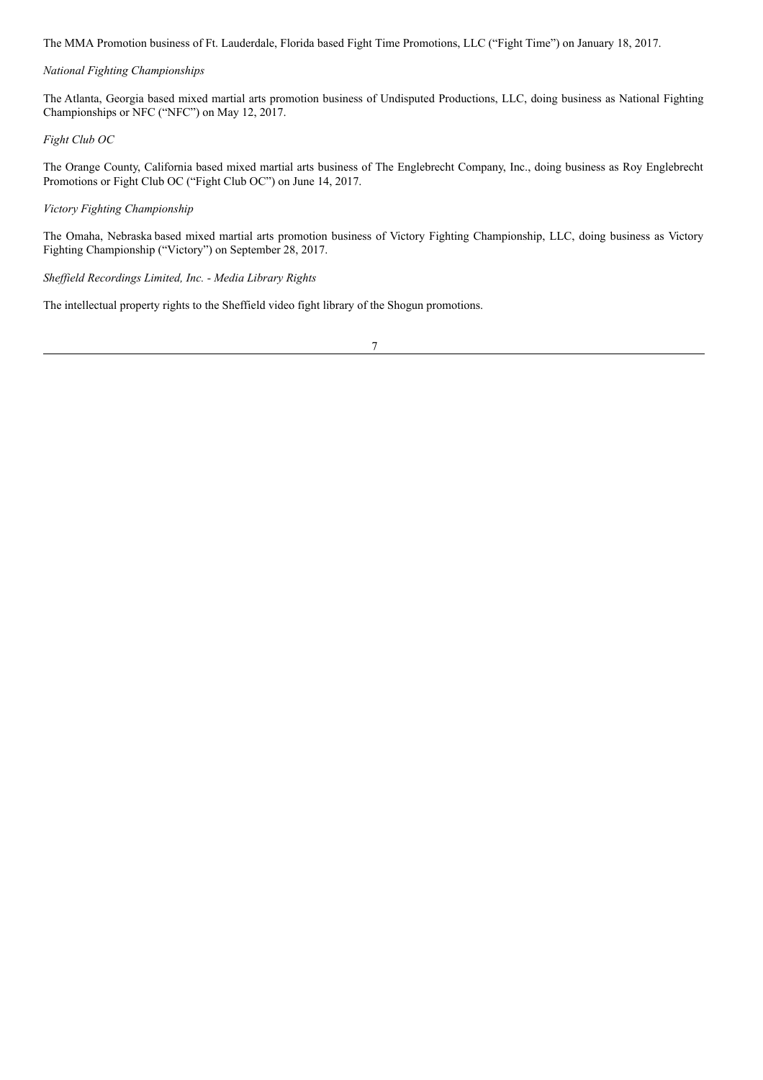The MMA Promotion business of Ft. Lauderdale, Florida based Fight Time Promotions, LLC ("Fight Time") on January 18, 2017.

# *National Fighting Championships*

The Atlanta, Georgia based mixed martial arts promotion business of Undisputed Productions, LLC, doing business as National Fighting Championships or NFC ("NFC") on May 12, 2017.

# *Fight Club OC*

The Orange County, California based mixed martial arts business of The Englebrecht Company, Inc., doing business as Roy Englebrecht Promotions or Fight Club OC ("Fight Club OC") on June 14, 2017.

# *Victory Fighting Championship*

The Omaha, Nebraska based mixed martial arts promotion business of Victory Fighting Championship, LLC, doing business as Victory Fighting Championship ("Victory") on September 28, 2017.

# *Shef ield Recordings Limited, Inc. - Media Library Rights*

The intellectual property rights to the Sheffield video fight library of the Shogun promotions.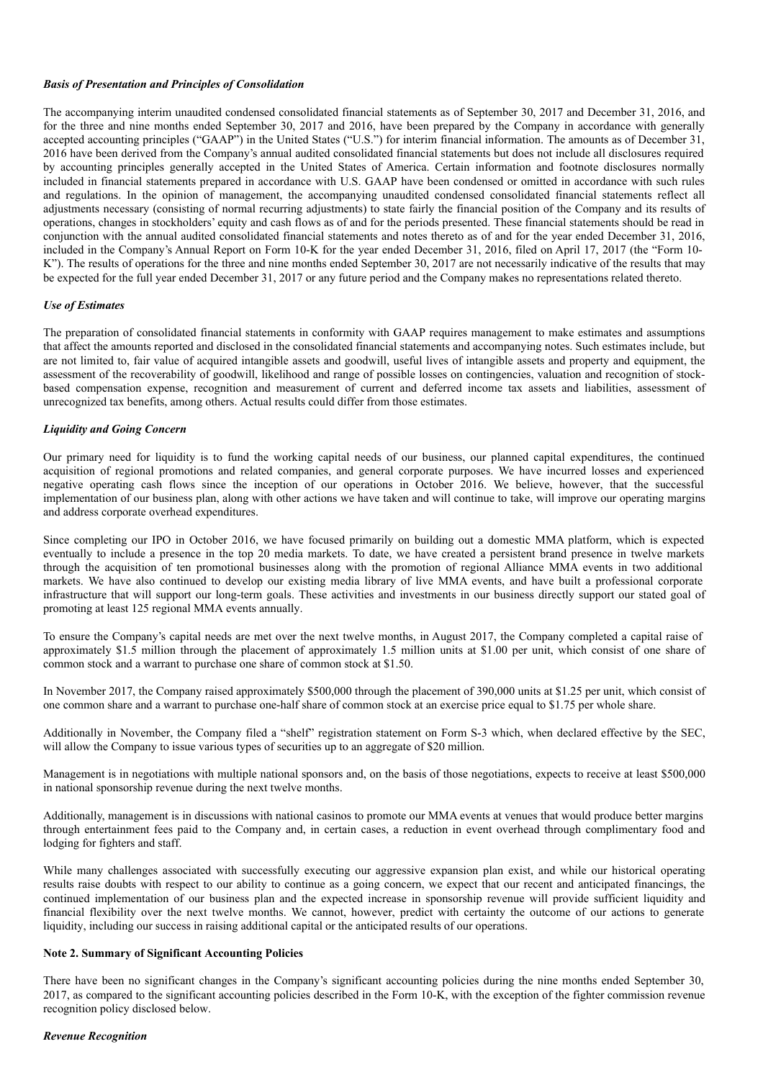# *Basis of Presentation and Principles of Consolidation*

The accompanying interim unaudited condensed consolidated financial statements as of September 30, 2017 and December 31, 2016, and for the three and nine months ended September 30, 2017 and 2016, have been prepared by the Company in accordance with generally accepted accounting principles ("GAAP") in the United States ("U.S.") for interim financial information. The amounts as of December 31, 2016 have been derived from the Company's annual audited consolidated financial statements but does not include all disclosures required by accounting principles generally accepted in the United States of America. Certain information and footnote disclosures normally included in financial statements prepared in accordance with U.S. GAAP have been condensed or omitted in accordance with such rules and regulations. In the opinion of management, the accompanying unaudited condensed consolidated financial statements reflect all adjustments necessary (consisting of normal recurring adjustments) to state fairly the financial position of the Company and its results of operations, changes in stockholders' equity and cash flows as of and for the periods presented. These financial statements should be read in conjunction with the annual audited consolidated financial statements and notes thereto as of and for the year ended December 31, 2016, included in the Company's Annual Report on Form 10-K for the year ended December 31, 2016, filed on April 17, 2017 (the "Form 10- K"). The results of operations for the three and nine months ended September 30, 2017 are not necessarily indicative of the results that may be expected for the full year ended December 31, 2017 or any future period and the Company makes no representations related thereto.

# *Use of Estimates*

The preparation of consolidated financial statements in conformity with GAAP requires management to make estimates and assumptions that affect the amounts reported and disclosed in the consolidated financial statements and accompanying notes. Such estimates include, but are not limited to, fair value of acquired intangible assets and goodwill, useful lives of intangible assets and property and equipment, the assessment of the recoverability of goodwill, likelihood and range of possible losses on contingencies, valuation and recognition of stockbased compensation expense, recognition and measurement of current and deferred income tax assets and liabilities, assessment of unrecognized tax benefits, among others. Actual results could differ from those estimates.

# *Liquidity and Going Concern*

Our primary need for liquidity is to fund the working capital needs of our business, our planned capital expenditures, the continued acquisition of regional promotions and related companies, and general corporate purposes. We have incurred losses and experienced negative operating cash flows since the inception of our operations in October 2016. We believe, however, that the successful implementation of our business plan, along with other actions we have taken and will continue to take, will improve our operating margins and address corporate overhead expenditures.

Since completing our IPO in October 2016, we have focused primarily on building out a domestic MMA platform, which is expected eventually to include a presence in the top 20 media markets. To date, we have created a persistent brand presence in twelve markets through the acquisition of ten promotional businesses along with the promotion of regional Alliance MMA events in two additional markets. We have also continued to develop our existing media library of live MMA events, and have built a professional corporate infrastructure that will support our long-term goals. These activities and investments in our business directly support our stated goal of promoting at least 125 regional MMA events annually.

To ensure the Company's capital needs are met over the next twelve months, in August 2017, the Company completed a capital raise of approximately \$1.5 million through the placement of approximately 1.5 million units at \$1.00 per unit, which consist of one share of common stock and a warrant to purchase one share of common stock at \$1.50.

In November 2017, the Company raised approximately \$500,000 through the placement of 390,000 units at \$1.25 per unit, which consist of one common share and a warrant to purchase one-half share of common stock at an exercise price equal to \$1.75 per whole share.

Additionally in November, the Company filed a "shelf" registration statement on Form S-3 which, when declared effective by the SEC, will allow the Company to issue various types of securities up to an aggregate of \$20 million.

Management is in negotiations with multiple national sponsors and, on the basis of those negotiations, expects to receive at least \$500,000 in national sponsorship revenue during the next twelve months.

Additionally, management is in discussions with national casinos to promote our MMA events at venues that would produce better margins through entertainment fees paid to the Company and, in certain cases, a reduction in event overhead through complimentary food and lodging for fighters and staff.

While many challenges associated with successfully executing our aggressive expansion plan exist, and while our historical operating results raise doubts with respect to our ability to continue as a going concern, we expect that our recent and anticipated financings, the continued implementation of our business plan and the expected increase in sponsorship revenue will provide sufficient liquidity and financial flexibility over the next twelve months. We cannot, however, predict with certainty the outcome of our actions to generate liquidity, including our success in raising additional capital or the anticipated results of our operations.

# **Note 2. Summary of Significant Accounting Policies**

There have been no significant changes in the Company's significant accounting policies during the nine months ended September 30, 2017, as compared to the significant accounting policies described in the Form 10-K, with the exception of the fighter commission revenue recognition policy disclosed below.

#### *Revenue Recognition*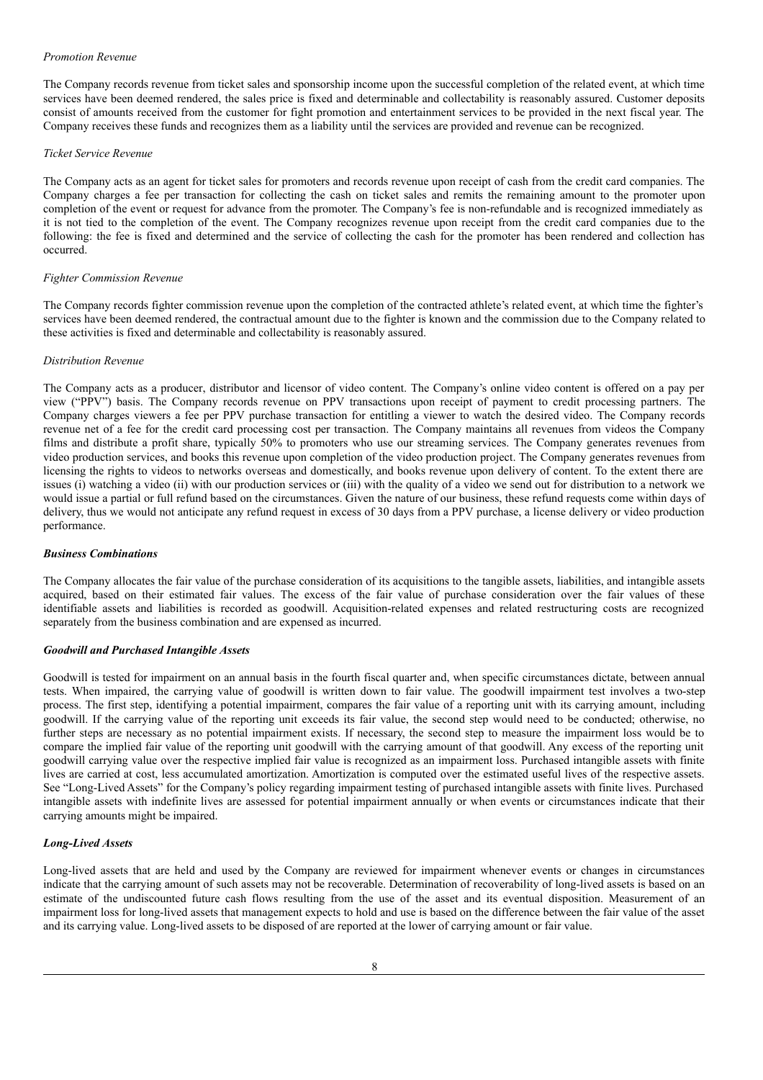#### *Promotion Revenue*

The Company records revenue from ticket sales and sponsorship income upon the successful completion of the related event, at which time services have been deemed rendered, the sales price is fixed and determinable and collectability is reasonably assured. Customer deposits consist of amounts received from the customer for fight promotion and entertainment services to be provided in the next fiscal year. The Company receives these funds and recognizes them as a liability until the services are provided and revenue can be recognized.

#### *Ticket Service Revenue*

The Company acts as an agent for ticket sales for promoters and records revenue upon receipt of cash from the credit card companies. The Company charges a fee per transaction for collecting the cash on ticket sales and remits the remaining amount to the promoter upon completion of the event or request for advance from the promoter. The Company's fee is non-refundable and is recognized immediately as it is not tied to the completion of the event. The Company recognizes revenue upon receipt from the credit card companies due to the following: the fee is fixed and determined and the service of collecting the cash for the promoter has been rendered and collection has occurred.

### *Fighter Commission Revenue*

The Company records fighter commission revenue upon the completion of the contracted athlete's related event, at which time the fighter's services have been deemed rendered, the contractual amount due to the fighter is known and the commission due to the Company related to these activities is fixed and determinable and collectability is reasonably assured.

#### *Distribution Revenue*

The Company acts as a producer, distributor and licensor of video content. The Company's online video content is offered on a pay per view ("PPV") basis. The Company records revenue on PPV transactions upon receipt of payment to credit processing partners. The Company charges viewers a fee per PPV purchase transaction for entitling a viewer to watch the desired video. The Company records revenue net of a fee for the credit card processing cost per transaction. The Company maintains all revenues from videos the Company films and distribute a profit share, typically 50% to promoters who use our streaming services. The Company generates revenues from video production services, and books this revenue upon completion of the video production project. The Company generates revenues from licensing the rights to videos to networks overseas and domestically, and books revenue upon delivery of content. To the extent there are issues (i) watching a video (ii) with our production services or (iii) with the quality of a video we send out for distribution to a network we would issue a partial or full refund based on the circumstances. Given the nature of our business, these refund requests come within days of delivery, thus we would not anticipate any refund request in excess of 30 days from a PPV purchase, a license delivery or video production performance.

# *Business Combinations*

The Company allocates the fair value of the purchase consideration of its acquisitions to the tangible assets, liabilities, and intangible assets acquired, based on their estimated fair values. The excess of the fair value of purchase consideration over the fair values of these identifiable assets and liabilities is recorded as goodwill. Acquisition-related expenses and related restructuring costs are recognized separately from the business combination and are expensed as incurred.

# *Goodwill and Purchased Intangible Assets*

Goodwill is tested for impairment on an annual basis in the fourth fiscal quarter and, when specific circumstances dictate, between annual tests. When impaired, the carrying value of goodwill is written down to fair value. The goodwill impairment test involves a two-step process. The first step, identifying a potential impairment, compares the fair value of a reporting unit with its carrying amount, including goodwill. If the carrying value of the reporting unit exceeds its fair value, the second step would need to be conducted; otherwise, no further steps are necessary as no potential impairment exists. If necessary, the second step to measure the impairment loss would be to compare the implied fair value of the reporting unit goodwill with the carrying amount of that goodwill. Any excess of the reporting unit goodwill carrying value over the respective implied fair value is recognized as an impairment loss. Purchased intangible assets with finite lives are carried at cost, less accumulated amortization. Amortization is computed over the estimated useful lives of the respective assets. See "Long-Lived Assets" for the Company's policy regarding impairment testing of purchased intangible assets with finite lives. Purchased intangible assets with indefinite lives are assessed for potential impairment annually or when events or circumstances indicate that their carrying amounts might be impaired.

# *Long-Lived Assets*

Long-lived assets that are held and used by the Company are reviewed for impairment whenever events or changes in circumstances indicate that the carrying amount of such assets may not be recoverable. Determination of recoverability of long-lived assets is based on an estimate of the undiscounted future cash flows resulting from the use of the asset and its eventual disposition. Measurement of an impairment loss for long-lived assets that management expects to hold and use is based on the difference between the fair value of the asset and its carrying value. Long-lived assets to be disposed of are reported at the lower of carrying amount or fair value.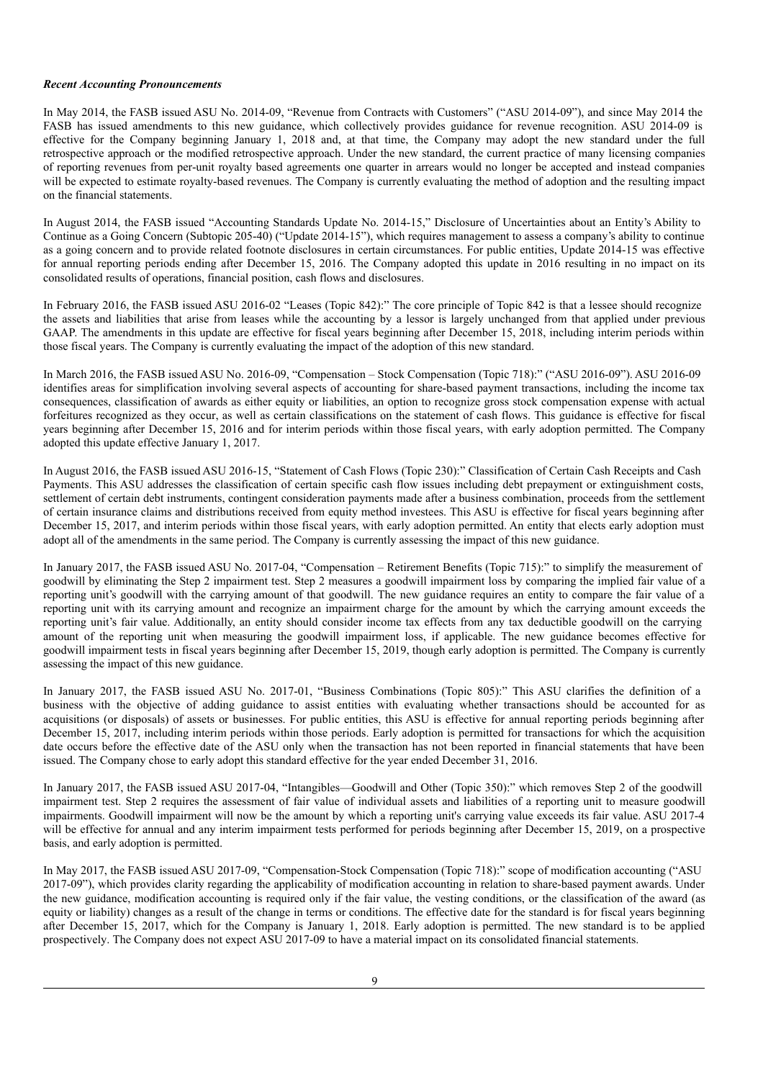# *Recent Accounting Pronouncements*

In May 2014, the FASB issued ASU No. 2014-09, "Revenue from Contracts with Customers" ("ASU 2014-09"), and since May 2014 the FASB has issued amendments to this new guidance, which collectively provides guidance for revenue recognition. ASU 2014-09 is effective for the Company beginning January 1, 2018 and, at that time, the Company may adopt the new standard under the full retrospective approach or the modified retrospective approach. Under the new standard, the current practice of many licensing companies of reporting revenues from per-unit royalty based agreements one quarter in arrears would no longer be accepted and instead companies will be expected to estimate royalty-based revenues. The Company is currently evaluating the method of adoption and the resulting impact on the financial statements.

In August 2014, the FASB issued "Accounting Standards Update No. 2014-15," Disclosure of Uncertainties about an Entity's Ability to Continue as a Going Concern (Subtopic 205-40) ("Update 2014-15"), which requires management to assess a company's ability to continue as a going concern and to provide related footnote disclosures in certain circumstances. For public entities, Update 2014-15 was effective for annual reporting periods ending after December 15, 2016. The Company adopted this update in 2016 resulting in no impact on its consolidated results of operations, financial position, cash flows and disclosures.

In February 2016, the FASB issued ASU 2016-02 "Leases (Topic 842):" The core principle of Topic 842 is that a lessee should recognize the assets and liabilities that arise from leases while the accounting by a lessor is largely unchanged from that applied under previous GAAP. The amendments in this update are effective for fiscal years beginning after December 15, 2018, including interim periods within those fiscal years. The Company is currently evaluating the impact of the adoption of this new standard.

In March 2016, the FASB issued ASU No. 2016-09, "Compensation – Stock Compensation (Topic 718):" ("ASU 2016-09"). ASU 2016-09 identifies areas for simplification involving several aspects of accounting for share-based payment transactions, including the income tax consequences, classification of awards as either equity or liabilities, an option to recognize gross stock compensation expense with actual forfeitures recognized as they occur, as well as certain classifications on the statement of cash flows. This guidance is effective for fiscal years beginning after December 15, 2016 and for interim periods within those fiscal years, with early adoption permitted. The Company adopted this update effective January 1, 2017.

In August 2016, the FASB issued ASU 2016-15, "Statement of Cash Flows (Topic 230):" Classification of Certain Cash Receipts and Cash Payments. This ASU addresses the classification of certain specific cash flow issues including debt prepayment or extinguishment costs, settlement of certain debt instruments, contingent consideration payments made after a business combination, proceeds from the settlement of certain insurance claims and distributions received from equity method investees. This ASU is effective for fiscal years beginning after December 15, 2017, and interim periods within those fiscal years, with early adoption permitted. An entity that elects early adoption must adopt all of the amendments in the same period. The Company is currently assessing the impact of this new guidance.

In January 2017, the FASB issued ASU No. 2017-04, "Compensation – Retirement Benefits (Topic 715):" to simplify the measurement of goodwill by eliminating the Step 2 impairment test. Step 2 measures a goodwill impairment loss by comparing the implied fair value of a reporting unit's goodwill with the carrying amount of that goodwill. The new guidance requires an entity to compare the fair value of a reporting unit with its carrying amount and recognize an impairment charge for the amount by which the carrying amount exceeds the reporting unit's fair value. Additionally, an entity should consider income tax effects from any tax deductible goodwill on the carrying amount of the reporting unit when measuring the goodwill impairment loss, if applicable. The new guidance becomes effective for goodwill impairment tests in fiscal years beginning after December 15, 2019, though early adoption is permitted. The Company is currently assessing the impact of this new guidance.

In January 2017, the FASB issued ASU No. 2017-01, "Business Combinations (Topic 805):" This ASU clarifies the definition of a business with the objective of adding guidance to assist entities with evaluating whether transactions should be accounted for as acquisitions (or disposals) of assets or businesses. For public entities, this ASU is effective for annual reporting periods beginning after December 15, 2017, including interim periods within those periods. Early adoption is permitted for transactions for which the acquisition date occurs before the effective date of the ASU only when the transaction has not been reported in financial statements that have been issued. The Company chose to early adopt this standard effective for the year ended December 31, 2016.

In January 2017, the FASB issued ASU 2017-04, "Intangibles—Goodwill and Other (Topic 350):" which removes Step 2 of the goodwill impairment test. Step 2 requires the assessment of fair value of individual assets and liabilities of a reporting unit to measure goodwill impairments. Goodwill impairment will now be the amount by which a reporting unit's carrying value exceeds its fair value. ASU 2017-4 will be effective for annual and any interim impairment tests performed for periods beginning after December 15, 2019, on a prospective basis, and early adoption is permitted.

In May 2017, the FASB issued ASU 2017-09, "Compensation-Stock Compensation (Topic 718):" scope of modification accounting ("ASU 2017-09"), which provides clarity regarding the applicability of modification accounting in relation to share-based payment awards. Under the new guidance, modification accounting is required only if the fair value, the vesting conditions, or the classification of the award (as equity or liability) changes as a result of the change in terms or conditions. The effective date for the standard is for fiscal years beginning after December 15, 2017, which for the Company is January 1, 2018. Early adoption is permitted. The new standard is to be applied prospectively. The Company does not expect ASU 2017-09 to have a material impact on its consolidated financial statements.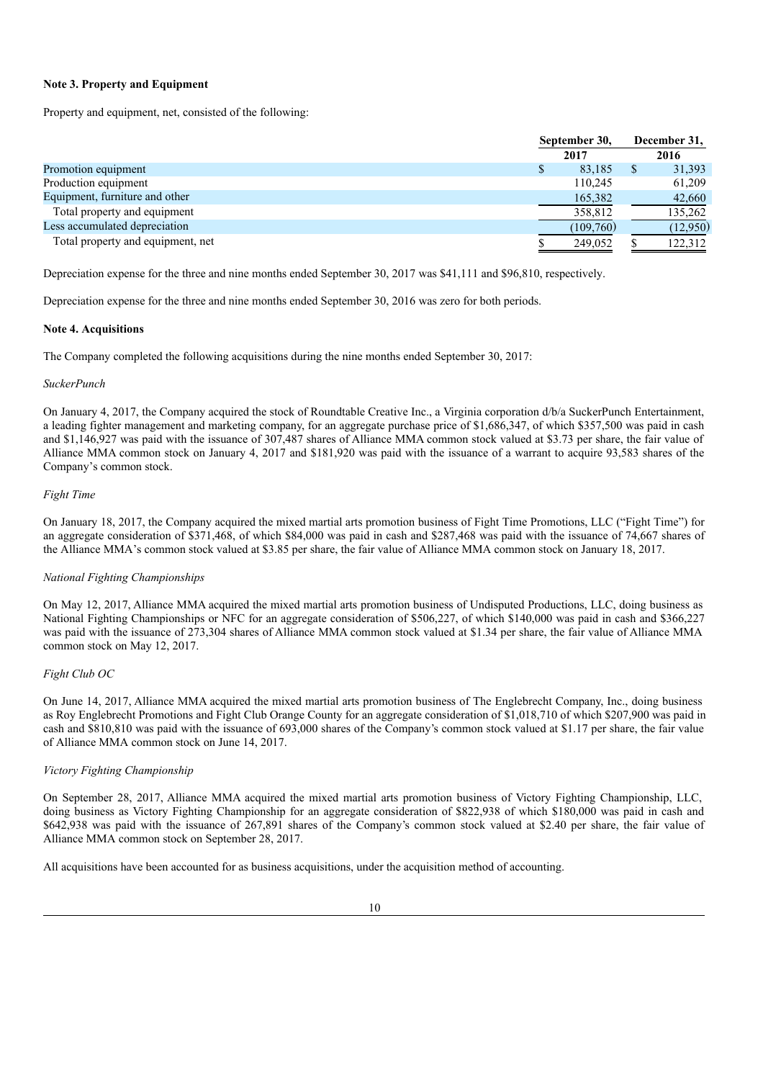# **Note 3. Property and Equipment**

Property and equipment, net, consisted of the following:

|                                   | September 30, | December 31, |
|-----------------------------------|---------------|--------------|
|                                   | 2017          | 2016         |
| Promotion equipment               | 83.185<br>S.  | 31,393       |
| Production equipment              | 110.245       | 61,209       |
| Equipment, furniture and other    | 165,382       | 42,660       |
| Total property and equipment      | 358,812       | 135,262      |
| Less accumulated depreciation     | (109,760)     | (12,950)     |
| Total property and equipment, net | 249,052       | 122,312      |

Depreciation expense for the three and nine months ended September 30, 2017 was \$41,111 and \$96,810, respectively.

Depreciation expense for the three and nine months ended September 30, 2016 was zero for both periods.

#### **Note 4. Acquisitions**

The Company completed the following acquisitions during the nine months ended September 30, 2017:

#### *SuckerPunch*

On January 4, 2017, the Company acquired the stock of Roundtable Creative Inc., a Virginia corporation d/b/a SuckerPunch Entertainment, a leading fighter management and marketing company, for an aggregate purchase price of \$1,686,347, of which \$357,500 was paid in cash and \$1,146,927 was paid with the issuance of 307,487 shares of Alliance MMA common stock valued at \$3.73 per share, the fair value of Alliance MMA common stock on January 4, 2017 and \$181,920 was paid with the issuance of a warrant to acquire 93,583 shares of the Company's common stock.

#### *Fight Time*

On January 18, 2017, the Company acquired the mixed martial arts promotion business of Fight Time Promotions, LLC ("Fight Time") for an aggregate consideration of \$371,468, of which \$84,000 was paid in cash and \$287,468 was paid with the issuance of 74,667 shares of the Alliance MMA's common stock valued at \$3.85 per share, the fair value of Alliance MMA common stock on January 18, 2017.

# *National Fighting Championships*

On May 12, 2017, Alliance MMA acquired the mixed martial arts promotion business of Undisputed Productions, LLC, doing business as National Fighting Championships or NFC for an aggregate consideration of \$506,227, of which \$140,000 was paid in cash and \$366,227 was paid with the issuance of 273,304 shares of Alliance MMA common stock valued at \$1.34 per share, the fair value of Alliance MMA common stock on May 12, 2017.

# *Fight Club OC*

On June 14, 2017, Alliance MMA acquired the mixed martial arts promotion business of The Englebrecht Company, Inc., doing business as Roy Englebrecht Promotions and Fight Club Orange County for an aggregate consideration of \$1,018,710 of which \$207,900 was paid in cash and \$810,810 was paid with the issuance of 693,000 shares of the Company's common stock valued at \$1.17 per share, the fair value of Alliance MMA common stock on June 14, 2017.

# *Victory Fighting Championship*

On September 28, 2017, Alliance MMA acquired the mixed martial arts promotion business of Victory Fighting Championship, LLC, doing business as Victory Fighting Championship for an aggregate consideration of \$822,938 of which \$180,000 was paid in cash and \$642,938 was paid with the issuance of 267,891 shares of the Company's common stock valued at \$2.40 per share, the fair value of Alliance MMA common stock on September 28, 2017.

All acquisitions have been accounted for as business acquisitions, under the acquisition method of accounting.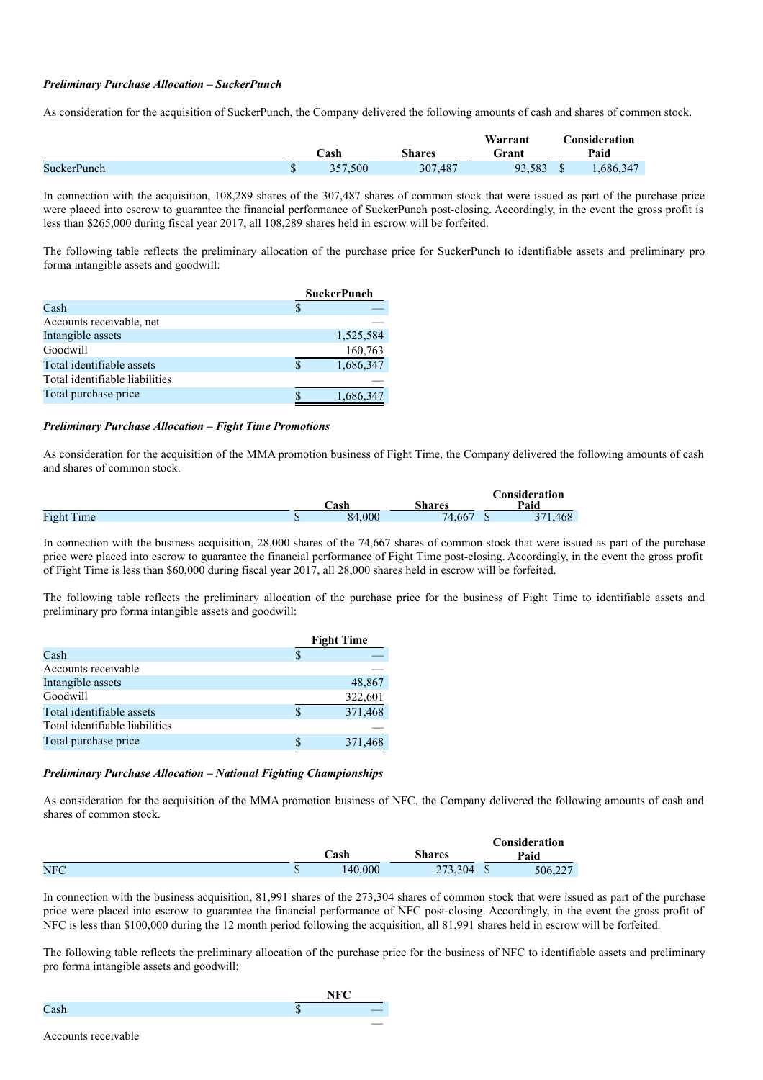# *Preliminary Purchase Allocation – SuckerPunch*

As consideration for the acquisition of SuckerPunch, the Company delivered the following amounts of cash and shares of common stock.

|                    |         |               | Warrant | $\cap$ onsideration |
|--------------------|---------|---------------|---------|---------------------|
|                    | ∵ash    | <b>Shares</b> | Grant   | Paid                |
| <b>SuckerPunch</b> | 357,500 | 307,487       | 93.583  | 1,686,347           |

In connection with the acquisition, 108,289 shares of the 307,487 shares of common stock that were issued as part of the purchase price were placed into escrow to guarantee the financial performance of SuckerPunch post-closing. Accordingly, in the event the gross profit is less than \$265,000 during fiscal year 2017, all 108,289 shares held in escrow will be forfeited.

The following table reflects the preliminary allocation of the purchase price for SuckerPunch to identifiable assets and preliminary pro forma intangible assets and goodwill:

|                                | <b>SuckerPunch</b> |  |  |
|--------------------------------|--------------------|--|--|
| Cash                           |                    |  |  |
| Accounts receivable, net       |                    |  |  |
| Intangible assets              | 1,525,584          |  |  |
| Goodwill                       | 160,763            |  |  |
| Total identifiable assets      | 1,686,347          |  |  |
| Total identifiable liabilities |                    |  |  |
| Total purchase price           | 1,686,347          |  |  |

# *Preliminary Purchase Allocation – Fight Time Promotions*

As consideration for the acquisition of the MMA promotion business of Fight Time, the Company delivered the following amounts of cash and shares of common stock.

|                   |    |        |        |    | Consideration |
|-------------------|----|--------|--------|----|---------------|
|                   |    | Cash   | Shares |    | Paid          |
| <b>Fight Time</b> | мσ | 84,000 | 74.667 | ۰υ | .468          |

In connection with the business acquisition, 28,000 shares of the 74,667 shares of common stock that were issued as part of the purchase price were placed into escrow to guarantee the financial performance of Fight Time post-closing. Accordingly, in the event the gross profit of Fight Time is less than \$60,000 during fiscal year 2017, all 28,000 shares held in escrow will be forfeited.

The following table reflects the preliminary allocation of the purchase price for the business of Fight Time to identifiable assets and preliminary pro forma intangible assets and goodwill:

|                                |   | <b>Fight Time</b> |
|--------------------------------|---|-------------------|
| Cash                           |   |                   |
| Accounts receivable            |   |                   |
| Intangible assets              |   | 48,867            |
| Goodwill                       |   | 322,601           |
| Total identifiable assets      | S | 371,468           |
| Total identifiable liabilities |   |                   |
| Total purchase price           |   | 371,468           |

# *Preliminary Purchase Allocation – National Fighting Championships*

As consideration for the acquisition of the MMA promotion business of NFC, the Company delivered the following amounts of cash and shares of common stock.

|            |   |         |               |   | <b>Consideration</b> |
|------------|---|---------|---------------|---|----------------------|
|            |   | Cash    | <b>Shares</b> |   | Paid                 |
| <b>NFC</b> | D | 140,000 | 273,304       | D | 506,227              |

In connection with the business acquisition, 81,991 shares of the 273,304 shares of common stock that were issued as part of the purchase price were placed into escrow to guarantee the financial performance of NFC post-closing. Accordingly, in the event the gross profit of NFC is less than \$100,000 during the 12 month period following the acquisition, all 81,991 shares held in escrow will be forfeited.

The following table reflects the preliminary allocation of the purchase price for the business of NFC to identifiable assets and preliminary pro forma intangible assets and goodwill:

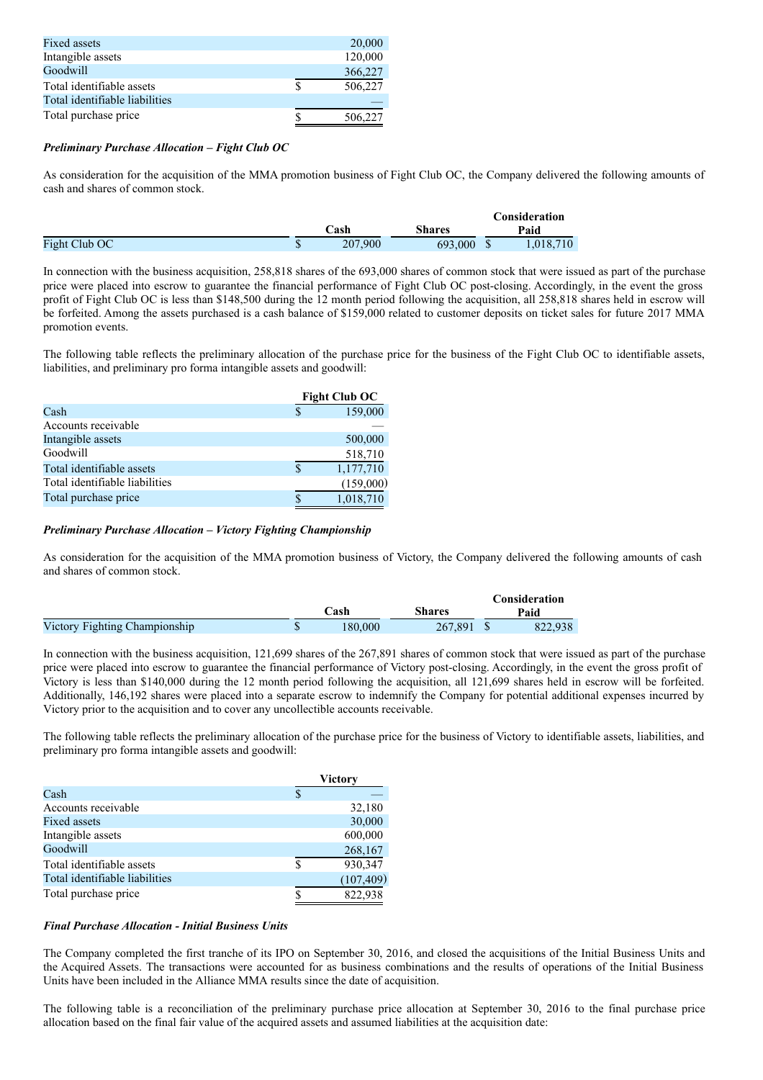| 20,000  |
|---------|
| 120,000 |
| 366,227 |
| 506,227 |
|         |
| 506,227 |
|         |

# *Preliminary Purchase Allocation – Fight Club OC*

As consideration for the acquisition of the MMA promotion business of Fight Club OC, the Company delivered the following amounts of cash and shares of common stock.

|               |         |               | Consideration |
|---------------|---------|---------------|---------------|
|               | ⊡ash    | <b>Shares</b> | Paid          |
| Fight Club OC | 207,900 | 693,000 \$    | 1,018,710     |

In connection with the business acquisition, 258,818 shares of the 693,000 shares of common stock that were issued as part of the purchase price were placed into escrow to guarantee the financial performance of Fight Club OC post-closing. Accordingly, in the event the gross profit of Fight Club OC is less than \$148,500 during the 12 month period following the acquisition, all 258,818 shares held in escrow will be forfeited. Among the assets purchased is a cash balance of \$159,000 related to customer deposits on ticket sales for future 2017 MMA promotion events.

The following table reflects the preliminary allocation of the purchase price for the business of the Fight Club OC to identifiable assets, liabilities, and preliminary pro forma intangible assets and goodwill:

|                                | <b>Fight Club OC</b> |
|--------------------------------|----------------------|
| Cash                           | 159,000              |
| Accounts receivable            |                      |
| Intangible assets              | 500,000              |
| Goodwill                       | 518,710              |
| Total identifiable assets      | 1,177,710            |
| Total identifiable liabilities | (159,000)            |
| Total purchase price           | 1,018,710            |

# *Preliminary Purchase Allocation – Victory Fighting Championship*

As consideration for the acquisition of the MMA promotion business of Victory, the Company delivered the following amounts of cash and shares of common stock.

|                               |         |               | <b>Consideration</b> |
|-------------------------------|---------|---------------|----------------------|
|                               | Cash    | <b>Shares</b> | Paid                 |
| Victory Fighting Championship | 180.000 | 267.891       | 822.938              |

In connection with the business acquisition, 121,699 shares of the 267,891 shares of common stock that were issued as part of the purchase price were placed into escrow to guarantee the financial performance of Victory post-closing. Accordingly, in the event the gross profit of Victory is less than \$140,000 during the 12 month period following the acquisition, all 121,699 shares held in escrow will be forfeited. Additionally, 146,192 shares were placed into a separate escrow to indemnify the Company for potential additional expenses incurred by Victory prior to the acquisition and to cover any uncollectible accounts receivable.

The following table reflects the preliminary allocation of the purchase price for the business of Victory to identifiable assets, liabilities, and preliminary pro forma intangible assets and goodwill:

|                                |   | <b>Victory</b> |
|--------------------------------|---|----------------|
| Cash                           | S |                |
| Accounts receivable            |   | 32,180         |
| <b>Fixed assets</b>            |   | 30,000         |
| Intangible assets              |   | 600,000        |
| Goodwill                       |   | 268,167        |
| Total identifiable assets      | S | 930,347        |
| Total identifiable liabilities |   | (107, 409)     |
| Total purchase price           |   | 822,938        |

# *Final Purchase Allocation - Initial Business Units*

The Company completed the first tranche of its IPO on September 30, 2016, and closed the acquisitions of the Initial Business Units and the Acquired Assets. The transactions were accounted for as business combinations and the results of operations of the Initial Business Units have been included in the Alliance MMA results since the date of acquisition.

The following table is a reconciliation of the preliminary purchase price allocation at September 30, 2016 to the final purchase price allocation based on the final fair value of the acquired assets and assumed liabilities at the acquisition date: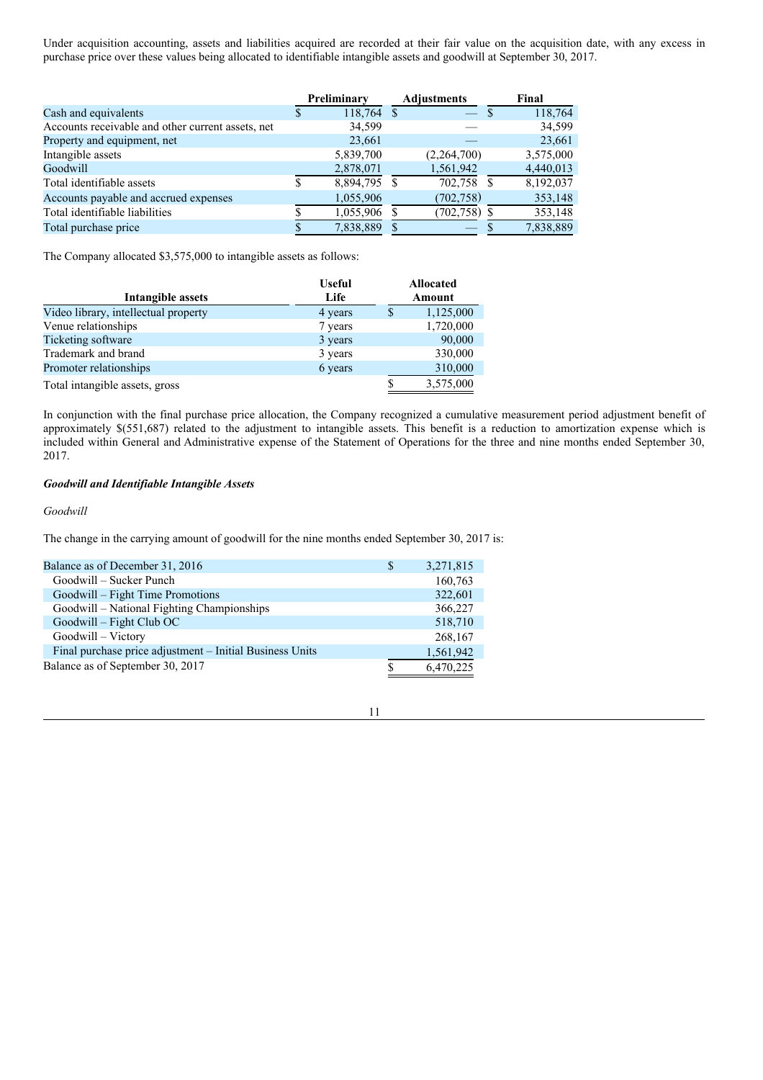Under acquisition accounting, assets and liabilities acquired are recorded at their fair value on the acquisition date, with any excess in purchase price over these values being allocated to identifiable intangible assets and goodwill at September 30, 2017.

|                                                   | Preliminary |              | Adiustments |                          | Final |           |
|---------------------------------------------------|-------------|--------------|-------------|--------------------------|-------|-----------|
| Cash and equivalents                              | S           | 118,764 \$   |             | $\overline{\phantom{0}}$ | S     | 118,764   |
| Accounts receivable and other current assets, net |             | 34,599       |             |                          |       | 34,599    |
| Property and equipment, net                       |             | 23,661       |             |                          |       | 23,661    |
| Intangible assets                                 |             | 5,839,700    |             | (2,264,700)              |       | 3,575,000 |
| Goodwill                                          |             | 2,878,071    |             | 1,561,942                |       | 4,440,013 |
| Total identifiable assets                         | ъ           | 8,894,795 \$ |             | 702,758                  |       | 8,192,037 |
| Accounts payable and accrued expenses             |             | 1,055,906    |             | (702, 758)               |       | 353,148   |
| Total identifiable liabilities                    |             | 1,055,906    |             | $(702,758)$ \$           |       | 353,148   |
| Total purchase price                              |             | 7,838,889    |             |                          |       | 7,838,889 |

The Company allocated \$3,575,000 to intangible assets as follows:

|                                      | <b>Useful</b> |        | <b>Allocated</b> |  |
|--------------------------------------|---------------|--------|------------------|--|
| Intangible assets                    | Life          | Amount |                  |  |
| Video library, intellectual property | 4 years       |        | 1,125,000        |  |
| Venue relationships                  | 7 years       |        | 1,720,000        |  |
| Ticketing software                   | 3 years       |        | 90,000           |  |
| Trademark and brand                  | 3 years       |        | 330,000          |  |
| Promoter relationships               | 6 years       |        | 310,000          |  |
| Total intangible assets, gross       |               |        | 3,575,000        |  |

In conjunction with the final purchase price allocation, the Company recognized a cumulative measurement period adjustment benefit of approximately \$(551,687) related to the adjustment to intangible assets. This benefit is a reduction to amortization expense which is included within General and Administrative expense of the Statement of Operations for the three and nine months ended September 30, 2017.

# *Goodwill and Identifiable Intangible Assets*

# *Goodwill*

The change in the carrying amount of goodwill for the nine months ended September 30, 2017 is:

| Balance as of December 31, 2016                          | S | 3,271,815 |
|----------------------------------------------------------|---|-----------|
| Goodwill – Sucker Punch                                  |   | 160,763   |
| Goodwill – Fight Time Promotions                         |   | 322,601   |
| Goodwill - National Fighting Championships               |   | 366,227   |
| $Goodwill - Flight Club OC$                              |   | 518,710   |
| Goodwill – Victory                                       |   | 268,167   |
| Final purchase price adjustment – Initial Business Units |   | 1,561,942 |
| Balance as of September 30, 2017                         |   | 6,470,225 |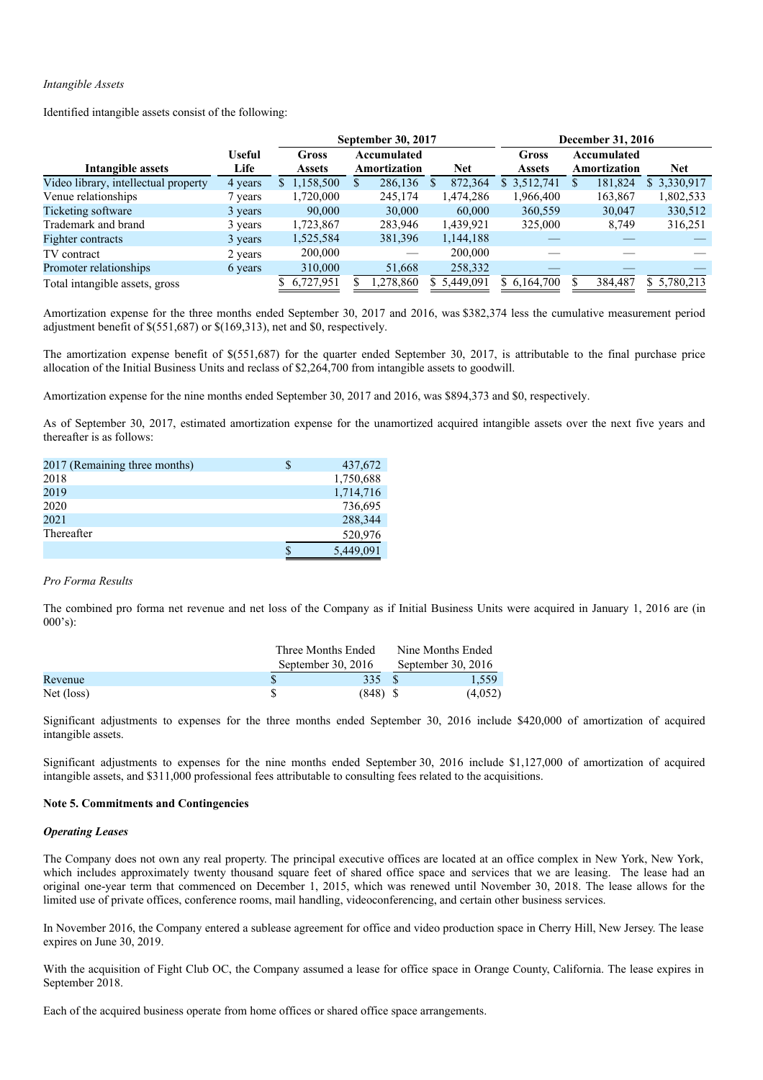## *Intangible Assets*

Identified intangible assets consist of the following:

|                                      |                       | September 30, 2017     |   |                             |  | <b>December 31, 2016</b> |                               |     |                             |  |             |
|--------------------------------------|-----------------------|------------------------|---|-----------------------------|--|--------------------------|-------------------------------|-----|-----------------------------|--|-------------|
| Intangible assets                    | <b>Useful</b><br>Life | Gross<br><b>Assets</b> |   | Accumulated<br>Amortization |  | <b>Net</b>               | <b>Gross</b><br><b>Assets</b> |     | Accumulated<br>Amortization |  | Net         |
| Video library, intellectual property | 4 years               | ,158,500<br>S          | S | 286,136                     |  | 872,364                  | \$3,512,741                   | \$. | 181,824                     |  | \$3,330,917 |
| Venue relationships                  | 7 years               | 1,720,000              |   | 245,174                     |  | 1.474.286                | 1,966,400                     |     | 163,867                     |  | 1,802,533   |
| Ticketing software                   | 3 years               | 90,000                 |   | 30,000                      |  | 60,000                   | 360,559                       |     | 30,047                      |  | 330,512     |
| Trademark and brand                  | 3 years               | 1,723,867              |   | 283,946                     |  | 1,439,921                | 325,000                       |     | 8.749                       |  | 316,251     |
| Fighter contracts                    | 3 years               | 1,525,584              |   | 381,396                     |  | 1,144,188                |                               |     |                             |  |             |
| TV contract                          | 2 years               | 200,000                |   |                             |  | 200,000                  |                               |     |                             |  |             |
| Promoter relationships               | 6 years               | 310,000                |   | 51,668                      |  | 258,332                  |                               |     |                             |  |             |
| Total intangible assets, gross       |                       | 6,727,951              |   | ,278,860                    |  | \$5,449,091              | \$6,164,700                   |     | 384,487                     |  | \$5,780,213 |

Amortization expense for the three months ended September 30, 2017 and 2016, was \$382,374 less the cumulative measurement period adjustment benefit of \$(551,687) or \$(169,313), net and \$0, respectively.

The amortization expense benefit of \$(551,687) for the quarter ended September 30, 2017, is attributable to the final purchase price allocation of the Initial Business Units and reclass of \$2,264,700 from intangible assets to goodwill.

Amortization expense for the nine months ended September 30, 2017 and 2016, was \$894,373 and \$0, respectively.

As of September 30, 2017, estimated amortization expense for the unamortized acquired intangible assets over the next five years and thereafter is as follows:

| 2017 (Remaining three months) | \$<br>437,672 |
|-------------------------------|---------------|
| 2018                          | 1,750,688     |
| 2019                          | 1,714,716     |
| 2020                          | 736,695       |
| 2021                          | 288,344       |
| Thereafter                    | 520,976       |
|                               | 5,449,091     |

# *Pro Forma Results*

The combined pro forma net revenue and net loss of the Company as if Initial Business Units were acquired in January 1, 2016 are (in  $000's$ :

|            | Three Months Ended | Nine Months Ended  |         |  |  |
|------------|--------------------|--------------------|---------|--|--|
|            | September 30, 2016 | September 30, 2016 |         |  |  |
| Revenue    | 335                |                    | 1.559   |  |  |
| Net (loss) | $(848)$ \$         |                    | (4,052) |  |  |

Significant adjustments to expenses for the three months ended September 30, 2016 include \$420,000 of amortization of acquired intangible assets.

Significant adjustments to expenses for the nine months ended September 30, 2016 include \$1,127,000 of amortization of acquired intangible assets, and \$311,000 professional fees attributable to consulting fees related to the acquisitions.

#### **Note 5. Commitments and Contingencies**

#### *Operating Leases*

The Company does not own any real property. The principal executive offices are located at an office complex in New York, New York, which includes approximately twenty thousand square feet of shared office space and services that we are leasing. The lease had an original one-year term that commenced on December 1, 2015, which was renewed until November 30, 2018. The lease allows for the limited use of private offices, conference rooms, mail handling, videoconferencing, and certain other business services.

In November 2016, the Company entered a sublease agreement for office and video production space in Cherry Hill, New Jersey. The lease expires on June 30, 2019.

With the acquisition of Fight Club OC, the Company assumed a lease for office space in Orange County, California. The lease expires in September 2018.

Each of the acquired business operate from home offices or shared office space arrangements.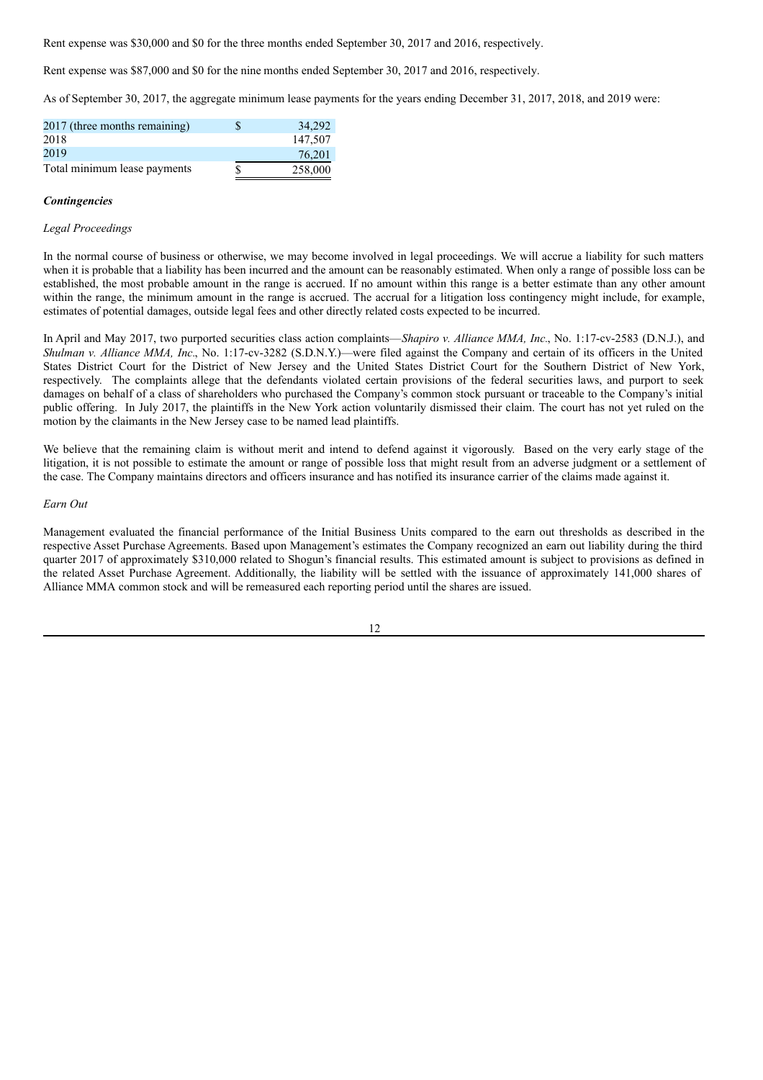Rent expense was \$30,000 and \$0 for the three months ended September 30, 2017 and 2016, respectively.

Rent expense was \$87,000 and \$0 for the nine months ended September 30, 2017 and 2016, respectively.

As of September 30, 2017, the aggregate minimum lease payments for the years ending December 31, 2017, 2018, and 2019 were:

| 2017 (three months remaining) | S | 34.292  |
|-------------------------------|---|---------|
| 2018                          |   | 147.507 |
| 2019                          |   | 76,201  |
| Total minimum lease payments  | S | 258,000 |

# *Contingencies*

# *Legal Proceedings*

In the normal course of business or otherwise, we may become involved in legal proceedings. We will accrue a liability for such matters when it is probable that a liability has been incurred and the amount can be reasonably estimated. When only a range of possible loss can be established, the most probable amount in the range is accrued. If no amount within this range is a better estimate than any other amount within the range, the minimum amount in the range is accrued. The accrual for a litigation loss contingency might include, for example, estimates of potential damages, outside legal fees and other directly related costs expected to be incurred.

In April and May 2017, two purported securities class action complaints—*Shapiro v. Alliance MMA, Inc.*, No. 1:17-cv-2583 (D.N.J.), and *Shulman v. Alliance MMA, Inc.*, No. 1:17-cv-3282 (S.D.N.Y.)—were filed against the Company and certain of its officers in the United States District Court for the District of New Jersey and the United States District Court for the Southern District of New York, respectively. The complaints allege that the defendants violated certain provisions of the federal securities laws, and purport to seek damages on behalf of a class of shareholders who purchased the Company's common stock pursuant or traceable to the Company's initial public offering. In July 2017, the plaintiffs in the New York action voluntarily dismissed their claim. The court has not yet ruled on the motion by the claimants in the New Jersey case to be named lead plaintiffs.

We believe that the remaining claim is without merit and intend to defend against it vigorously. Based on the very early stage of the litigation, it is not possible to estimate the amount or range of possible loss that might result from an adverse judgment or a settlement of the case. The Company maintains directors and officers insurance and has notified its insurance carrier of the claims made against it.

# *Earn Out*

Management evaluated the financial performance of the Initial Business Units compared to the earn out thresholds as described in the respective Asset Purchase Agreements. Based upon Management's estimates the Company recognized an earn out liability during the third quarter 2017 of approximately \$310,000 related to Shogun's financial results. This estimated amount is subject to provisions as defined in the related Asset Purchase Agreement. Additionally, the liability will be settled with the issuance of approximately 141,000 shares of Alliance MMA common stock and will be remeasured each reporting period until the shares are issued.

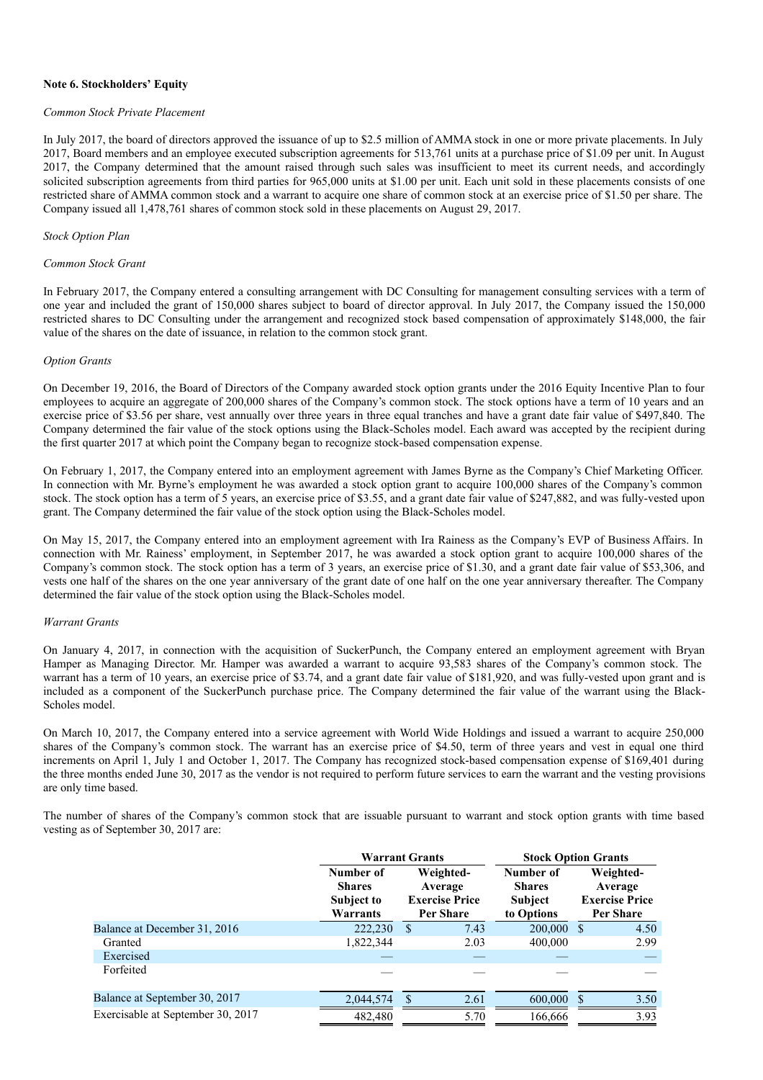# **Note 6. Stockholders' Equity**

#### *Common Stock Private Placement*

In July 2017, the board of directors approved the issuance of up to \$2.5 million of AMMA stock in one or more private placements. In July 2017, Board members and an employee executed subscription agreements for 513,761 units at a purchase price of \$1.09 per unit. In August 2017, the Company determined that the amount raised through such sales was insufficient to meet its current needs, and accordingly solicited subscription agreements from third parties for 965,000 units at \$1.00 per unit. Each unit sold in these placements consists of one restricted share of AMMA common stock and a warrant to acquire one share of common stock at an exercise price of \$1.50 per share. The Company issued all 1,478,761 shares of common stock sold in these placements on August 29, 2017.

#### *Stock Option Plan*

#### *Common Stock Grant*

In February 2017, the Company entered a consulting arrangement with DC Consulting for management consulting services with a term of one year and included the grant of 150,000 shares subject to board of director approval. In July 2017, the Company issued the 150,000 restricted shares to DC Consulting under the arrangement and recognized stock based compensation of approximately \$148,000, the fair value of the shares on the date of issuance, in relation to the common stock grant.

# *Option Grants*

On December 19, 2016, the Board of Directors of the Company awarded stock option grants under the 2016 Equity Incentive Plan to four employees to acquire an aggregate of 200,000 shares of the Company's common stock. The stock options have a term of 10 years and an exercise price of \$3.56 per share, vest annually over three years in three equal tranches and have a grant date fair value of \$497,840. The Company determined the fair value of the stock options using the Black-Scholes model. Each award was accepted by the recipient during the first quarter 2017 at which point the Company began to recognize stock-based compensation expense.

On February 1, 2017, the Company entered into an employment agreement with James Byrne as the Company's Chief Marketing Officer. In connection with Mr. Byrne's employment he was awarded a stock option grant to acquire 100,000 shares of the Company's common stock. The stock option has a term of 5 years, an exercise price of \$3.55, and a grant date fair value of \$247,882, and was fully-vested upon grant. The Company determined the fair value of the stock option using the Black-Scholes model.

On May 15, 2017, the Company entered into an employment agreement with Ira Rainess as the Company's EVP of Business Affairs. In connection with Mr. Rainess' employment, in September 2017, he was awarded a stock option grant to acquire 100,000 shares of the Company's common stock. The stock option has a term of 3 years, an exercise price of \$1.30, and a grant date fair value of \$53,306, and vests one half of the shares on the one year anniversary of the grant date of one half on the one year anniversary thereafter. The Company determined the fair value of the stock option using the Black-Scholes model.

#### *Warrant Grants*

On January 4, 2017, in connection with the acquisition of SuckerPunch, the Company entered an employment agreement with Bryan Hamper as Managing Director. Mr. Hamper was awarded a warrant to acquire 93,583 shares of the Company's common stock. The warrant has a term of 10 years, an exercise price of \$3.74, and a grant date fair value of \$181,920, and was fully-vested upon grant and is included as a component of the SuckerPunch purchase price. The Company determined the fair value of the warrant using the Black-Scholes model.

On March 10, 2017, the Company entered into a service agreement with World Wide Holdings and issued a warrant to acquire 250,000 shares of the Company's common stock. The warrant has an exercise price of \$4.50, term of three years and vest in equal one third increments on April 1, July 1 and October 1, 2017. The Company has recognized stock-based compensation expense of \$169,401 during the three months ended June 30, 2017 as the vendor is not required to perform future services to earn the warrant and the vesting provisions are only time based.

The number of shares of the Company's common stock that are issuable pursuant to warrant and stock option grants with time based vesting as of September 30, 2017 are:

|                                                                                                                    |           | <b>Warrant Grants</b> | <b>Stock Option Grants</b>                                 |                                                            |  |  |
|--------------------------------------------------------------------------------------------------------------------|-----------|-----------------------|------------------------------------------------------------|------------------------------------------------------------|--|--|
| Weighted-<br>Number of<br><b>Shares</b><br>Average<br><b>Exercise Price</b><br>Subject to<br>Warrants<br>Per Share |           |                       | Number of<br><b>Shares</b><br><b>Subject</b><br>to Options | Weighted-<br>Average<br><b>Exercise Price</b><br>Per Share |  |  |
| Balance at December 31, 2016                                                                                       | 222,230   | -S<br>7.43            | 200,000                                                    | 4.50<br>S                                                  |  |  |
| Granted                                                                                                            | 1,822,344 | 2.03                  | 400,000                                                    | 2.99                                                       |  |  |
| Exercised                                                                                                          |           |                       |                                                            |                                                            |  |  |
| Forfeited                                                                                                          |           |                       |                                                            |                                                            |  |  |
| Balance at September 30, 2017                                                                                      | 2,044,574 | 2.61                  | 600,000                                                    | 3.50<br>S                                                  |  |  |
| Exercisable at September 30, 2017                                                                                  | 482,480   | 5.70                  | 166,666                                                    | 3.93                                                       |  |  |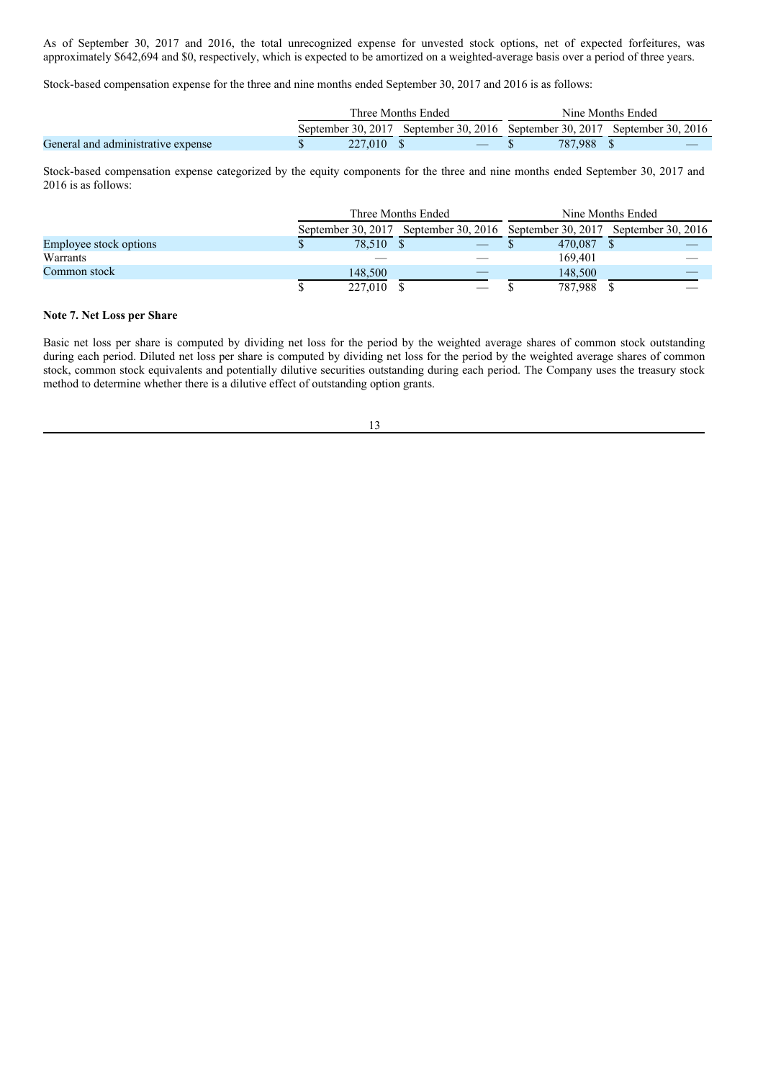As of September 30, 2017 and 2016, the total unrecognized expense for unvested stock options, net of expected forfeitures, was approximately \$642,694 and \$0, respectively, which is expected to be amortized on a weighted-average basis over a period of three years.

Stock-based compensation expense for the three and nine months ended September 30, 2017 and 2016 is as follows:

|                                    | Three Months Ended |         |  |  | Nine Months Ended |         |                                                                             |  |  |  |
|------------------------------------|--------------------|---------|--|--|-------------------|---------|-----------------------------------------------------------------------------|--|--|--|
|                                    |                    |         |  |  |                   |         | September 30, 2017 September 30, 2016 September 30, 2017 September 30, 2016 |  |  |  |
| General and administrative expense |                    | 227,010 |  |  |                   | 787.988 |                                                                             |  |  |  |

Stock-based compensation expense categorized by the equity components for the three and nine months ended September 30, 2017 and 2016 is as follows:

|                        | Three Months Ended |         |                                                                             |  | Nine Months Ended |         |  |  |  |
|------------------------|--------------------|---------|-----------------------------------------------------------------------------|--|-------------------|---------|--|--|--|
|                        |                    |         | September 30, 2017 September 30, 2016 September 30, 2017 September 30, 2016 |  |                   |         |  |  |  |
| Employee stock options |                    | 78.510  |                                                                             |  |                   | 470.087 |  |  |  |
| Warrants               |                    |         |                                                                             |  |                   | 169.401 |  |  |  |
| Common stock           |                    | 148.500 |                                                                             |  |                   | 148,500 |  |  |  |
|                        |                    | 227,010 |                                                                             |  |                   | 787.988 |  |  |  |

# **Note 7. Net Loss per Share**

Basic net loss per share is computed by dividing net loss for the period by the weighted average shares of common stock outstanding during each period. Diluted net loss per share is computed by dividing net loss for the period by the weighted average shares of common stock, common stock equivalents and potentially dilutive securities outstanding during each period. The Company uses the treasury stock method to determine whether there is a dilutive effect of outstanding option grants.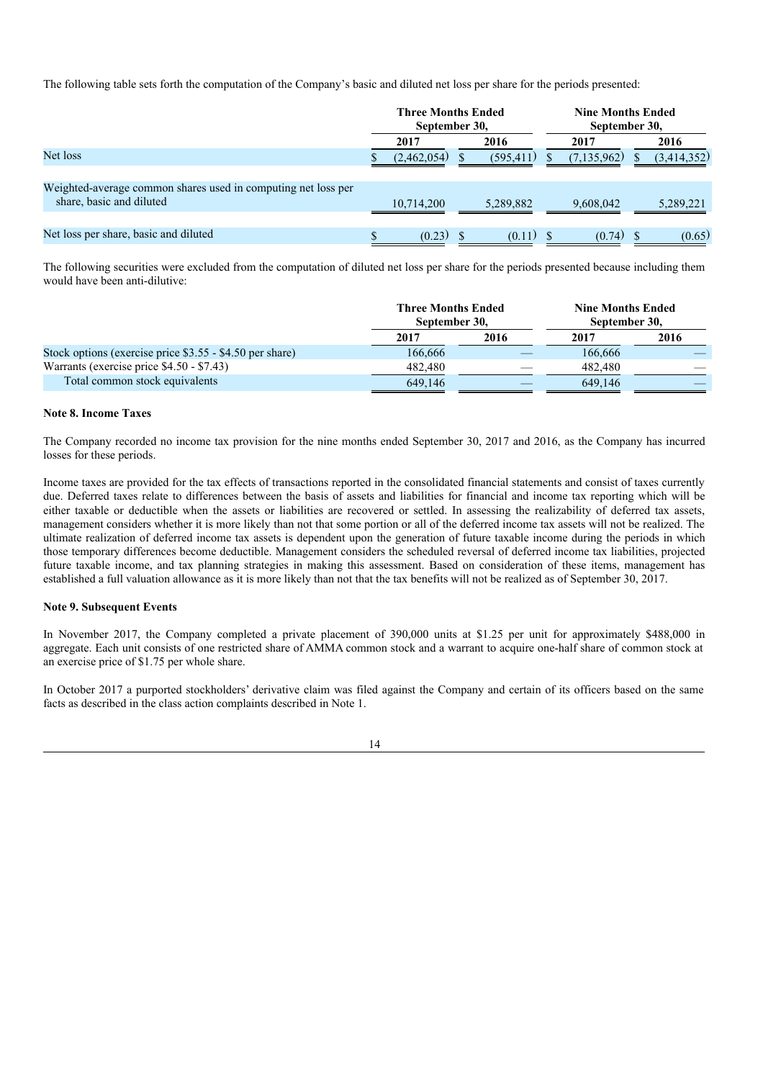The following table sets forth the computation of the Company's basic and diluted net loss per share for the periods presented:

|                                                               | <b>Three Months Ended</b><br>September 30, |  |            | <b>Nine Months Ended</b><br>September 30, |               |  |             |
|---------------------------------------------------------------|--------------------------------------------|--|------------|-------------------------------------------|---------------|--|-------------|
|                                                               | 2017                                       |  | 2016       |                                           | 2017          |  | 2016        |
| Net loss                                                      | (2,462,054)                                |  | (595, 411) |                                           | (7, 135, 962) |  | (3,414,352) |
|                                                               |                                            |  |            |                                           |               |  |             |
| Weighted-average common shares used in computing net loss per |                                            |  |            |                                           |               |  |             |
| share, basic and diluted                                      | 10.714.200                                 |  | 5.289.882  |                                           | 9.608.042     |  | 5,289,221   |
|                                                               |                                            |  |            |                                           |               |  |             |
| Net loss per share, basic and diluted                         | (0.23)                                     |  | (0.11)     |                                           | (0.74)        |  | (0.65)      |

The following securities were excluded from the computation of diluted net loss per share for the periods presented because including them would have been anti-dilutive:

|                                                          | <b>Three Months Ended</b><br>September 30, |      | <b>Nine Months Ended</b><br>September 30, |      |  |
|----------------------------------------------------------|--------------------------------------------|------|-------------------------------------------|------|--|
|                                                          | 2017                                       | 2016 | 2017                                      | 2016 |  |
| Stock options (exercise price \$3.55 - \$4.50 per share) | 166,666                                    |      | 166,666                                   |      |  |
| Warrants (exercise price \$4.50 - \$7.43)                | 482,480                                    |      | 482,480                                   |      |  |
| Total common stock equivalents                           | 649.146                                    |      | 649.146                                   |      |  |

# **Note 8. Income Taxes**

The Company recorded no income tax provision for the nine months ended September 30, 2017 and 2016, as the Company has incurred losses for these periods.

Income taxes are provided for the tax effects of transactions reported in the consolidated financial statements and consist of taxes currently due. Deferred taxes relate to differences between the basis of assets and liabilities for financial and income tax reporting which will be either taxable or deductible when the assets or liabilities are recovered or settled. In assessing the realizability of deferred tax assets, management considers whether it is more likely than not that some portion or all of the deferred income tax assets will not be realized. The ultimate realization of deferred income tax assets is dependent upon the generation of future taxable income during the periods in which those temporary differences become deductible. Management considers the scheduled reversal of deferred income tax liabilities, projected future taxable income, and tax planning strategies in making this assessment. Based on consideration of these items, management has established a full valuation allowance as it is more likely than not that the tax benefits will not be realized as of September 30, 2017.

# **Note 9. Subsequent Events**

In November 2017, the Company completed a private placement of 390,000 units at \$1.25 per unit for approximately \$488,000 in aggregate. Each unit consists of one restricted share of AMMA common stock and a warrant to acquire one-half share of common stock at an exercise price of \$1.75 per whole share.

In October 2017 a purported stockholders' derivative claim was filed against the Company and certain of its officers based on the same facts as described in the class action complaints described in Note 1.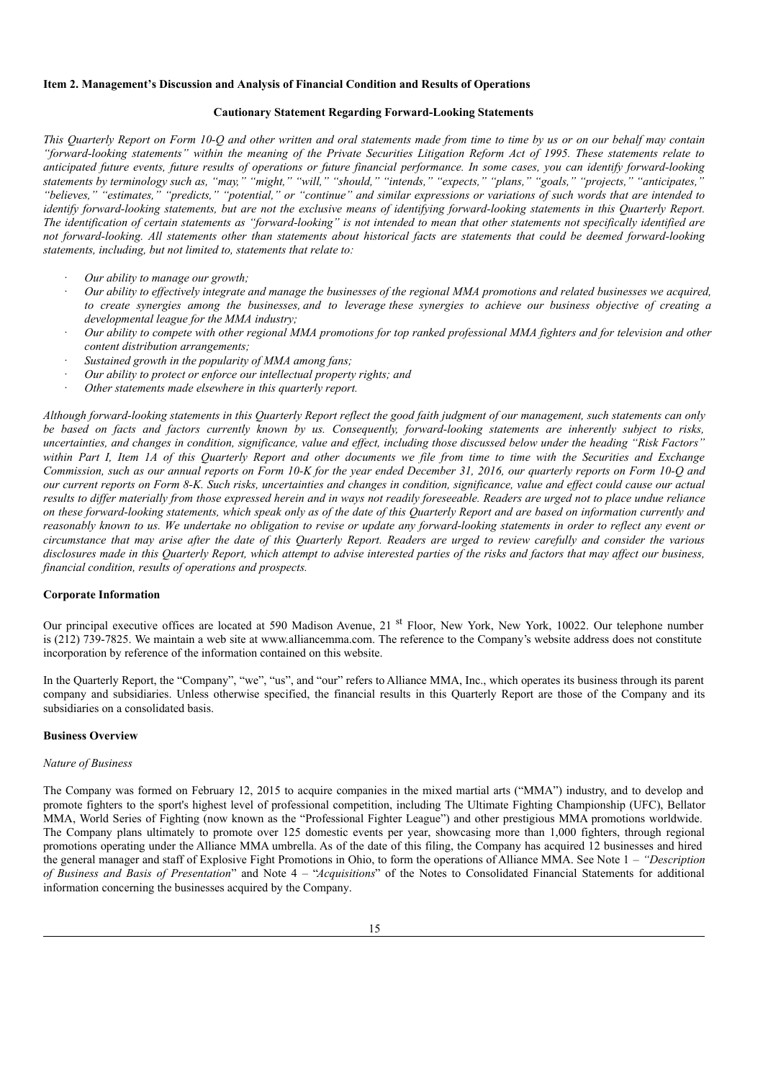#### **Item 2. Management's Discussion and Analysis of Financial Condition and Results of Operations**

# **Cautionary Statement Regarding Forward-Looking Statements**

This Quarterly Report on Form 10-Q and other written and oral statements made from time to time by us or on our behalf may contain "forward-looking statements" within the meaning of the Private Securities Litigation Reform Act of 1995. These statements relate to anticipated future events, future results of operations or future financial performance. In some cases, you can identify forward-looking statements by terminology such as, "may," "might," "will," "should," "intends," "expects," "plans," "goals," "projects," "anticipates," "believes," "estimates," "predicts," "potential," or "continue" and similar expressions or variations of such words that are intended to identify forward-looking statements, but are not the exclusive means of identifying forward-looking statements in this Quarterly Report. The identification of certain statements as "forward-looking" is not intended to mean that other statements not specifically identified are not forward-looking. All statements other than statements about historical facts are statements that could be deemed forward-looking *statements, including, but not limited to, statements that relate to:*

- · *Our ability to manage our growth;*
- Our ability to effectively integrate and manage the businesses of the regional MMA promotions and related businesses we acquired, to create synergies among the businesses, and to leverage these synergies to achieve our business objective of creating a *developmental league for the MMA industry;*
- Our ability to compete with other regional MMA promotions for top ranked professional MMA fighters and for television and other *content distribution arrangements;*
- · *Sustained growth in the popularity of MMA among fans;*
- · *Our ability to protect or enforce our intellectual property rights; and*
- · *Other statements made elsewhere in this quarterly report.*

Although forward-looking statements in this Quarterly Report reflect the good faith judgment of our management, such statements can only be based on facts and factors currently known by us. Consequently, forward-looking statements are inherently subject to risks, uncertainties, and changes in condition, significance, value and effect, including those discussed below under the heading "Risk Factors" within Part I, Item 1A of this Quarterly Report and other documents we file from time to time with the Securities and Exchange Commission, such as our annual reports on Form 10-K for the year ended December 31, 2016, our quarterly reports on Form 10-O and our current reports on Form 8-K. Such risks, uncertainties and changes in condition, significance, value and effect could cause our actual results to differ materially from those expressed herein and in ways not readily foreseeable. Readers are urged not to place undue reliance on these forward-looking statements, which speak only as of the date of this Quarterly Report and are based on information currently and reasonably known to us. We undertake no obligation to revise or update any forward-looking statements in order to reflect any event or circumstance that may arise after the date of this Quarterly Report. Readers are urged to review carefully and consider the various disclosures made in this Quarterly Report, which attempt to advise interested parties of the risks and factors that may affect our business, *financial condition, results of operations and prospects.*

#### **Corporate Information**

Our principal executive offices are located at 590 Madison Avenue, 21<sup>st</sup> Floor, New York, New York, 10022. Our telephone number is (212) 739-7825. We maintain a web site at www.alliancemma.com. The reference to the Company's website address does not constitute incorporation by reference of the information contained on this website.

In the Quarterly Report, the "Company", "we", "us", and "our" refers to Alliance MMA, Inc., which operates its business through its parent company and subsidiaries. Unless otherwise specified, the financial results in this Quarterly Report are those of the Company and its subsidiaries on a consolidated basis.

# **Business Overview**

# *Nature of Business*

The Company was formed on February 12, 2015 to acquire companies in the mixed martial arts ("MMA") industry, and to develop and promote fighters to the sport's highest level of professional competition, including The Ultimate Fighting Championship (UFC), Bellator MMA, World Series of Fighting (now known as the "Professional Fighter League") and other prestigious MMA promotions worldwide. The Company plans ultimately to promote over 125 domestic events per year, showcasing more than 1,000 fighters, through regional promotions operating under the Alliance MMA umbrella. As of the date of this filing, the Company has acquired 12 businesses and hired the general manager and staff of Explosive Fight Promotions in Ohio, to form the operations of Alliance MMA. See Note 1 *– "Description of Business and Basis of Presentation*" and Note 4 – "*Acquisitions*" of the Notes to Consolidated Financial Statements for additional information concerning the businesses acquired by the Company.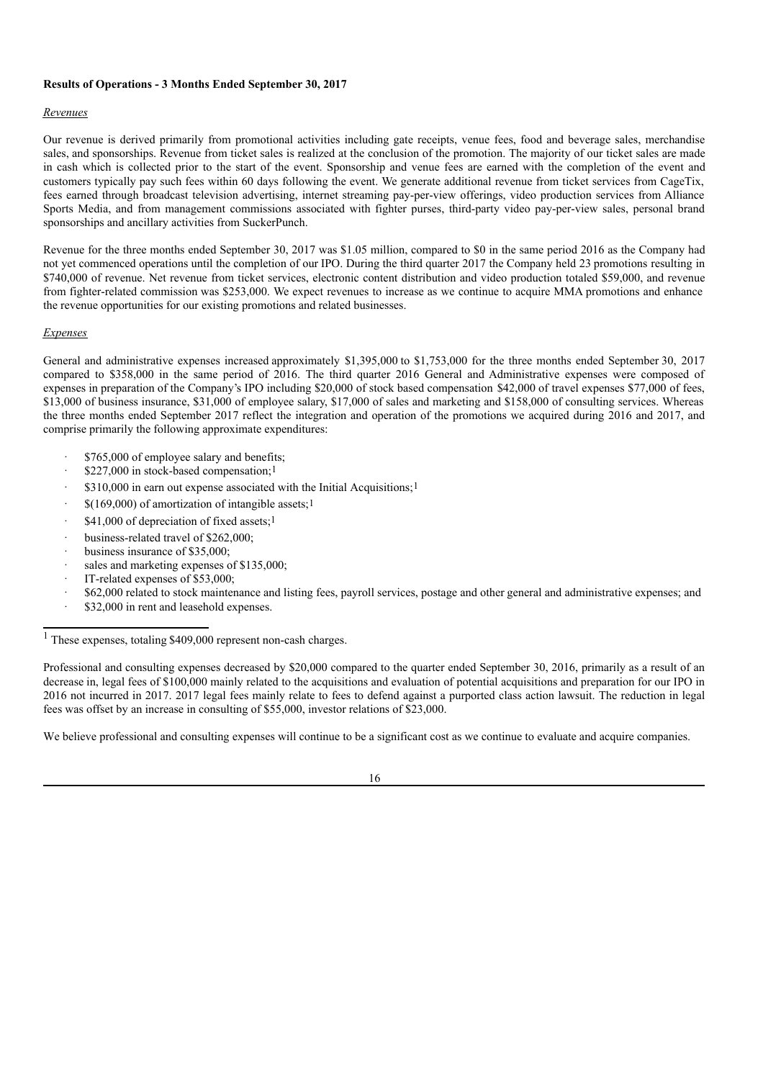# **Results of Operations - 3 Months Ended September 30, 2017**

# *Revenues*

Our revenue is derived primarily from promotional activities including gate receipts, venue fees, food and beverage sales, merchandise sales, and sponsorships. Revenue from ticket sales is realized at the conclusion of the promotion. The majority of our ticket sales are made in cash which is collected prior to the start of the event. Sponsorship and venue fees are earned with the completion of the event and customers typically pay such fees within 60 days following the event. We generate additional revenue from ticket services from CageTix, fees earned through broadcast television advertising, internet streaming pay-per-view offerings, video production services from Alliance Sports Media, and from management commissions associated with fighter purses, third-party video pay-per-view sales, personal brand sponsorships and ancillary activities from SuckerPunch.

Revenue for the three months ended September 30, 2017 was \$1.05 million, compared to \$0 in the same period 2016 as the Company had not yet commenced operations until the completion of our IPO. During the third quarter 2017 the Company held 23 promotions resulting in \$740,000 of revenue. Net revenue from ticket services, electronic content distribution and video production totaled \$59,000, and revenue from fighter-related commission was \$253,000. We expect revenues to increase as we continue to acquire MMA promotions and enhance the revenue opportunities for our existing promotions and related businesses.

#### *Expenses*

General and administrative expenses increased approximately \$1,395,000 to \$1,753,000 for the three months ended September 30, 2017 compared to \$358,000 in the same period of 2016. The third quarter 2016 General and Administrative expenses were composed of expenses in preparation of the Company's IPO including \$20,000 of stock based compensation \$42,000 of travel expenses \$77,000 of fees, \$13,000 of business insurance, \$31,000 of employee salary, \$17,000 of sales and marketing and \$158,000 of consulting services. Whereas the three months ended September 2017 reflect the integration and operation of the promotions we acquired during 2016 and 2017, and comprise primarily the following approximate expenditures:

- · \$765,000 of employee salary and benefits;
- · \$227,000 in stock-based compensation;1
- \$310,000 in earn out expense associated with the Initial Acquisitions;<sup>1</sup>
- $$(169,000)$  of amortization of intangible assets;<sup>1</sup>
- · \$41,000 of depreciation of fixed assets;1
- business-related travel of \$262,000;
- business insurance of \$35,000;
- sales and marketing expenses of \$135,000;
- IT-related expenses of \$53,000;
- · \$62,000 related to stock maintenance and listing fees, payroll services, postage and other general and administrative expenses; and
- \$32,000 in rent and leasehold expenses.

We believe professional and consulting expenses will continue to be a significant cost as we continue to evaluate and acquire companies.



<sup>&</sup>lt;sup>1</sup> These expenses, totaling \$409,000 represent non-cash charges.

Professional and consulting expenses decreased by \$20,000 compared to the quarter ended September 30, 2016, primarily as a result of an decrease in, legal fees of \$100,000 mainly related to the acquisitions and evaluation of potential acquisitions and preparation for our IPO in 2016 not incurred in 2017. 2017 legal fees mainly relate to fees to defend against a purported class action lawsuit. The reduction in legal fees was offset by an increase in consulting of \$55,000, investor relations of \$23,000.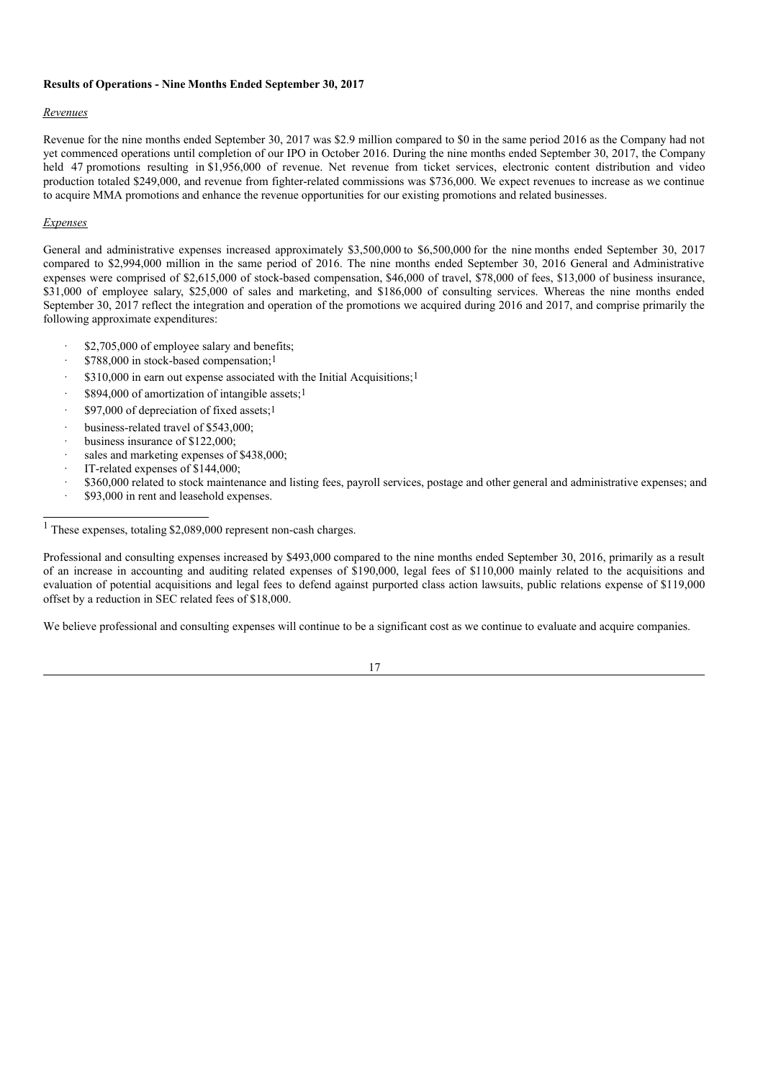# **Results of Operations - Nine Months Ended September 30, 2017**

#### *Revenues*

Revenue for the nine months ended September 30, 2017 was \$2.9 million compared to \$0 in the same period 2016 as the Company had not yet commenced operations until completion of our IPO in October 2016. During the nine months ended September 30, 2017, the Company held 47 promotions resulting in \$1,956,000 of revenue. Net revenue from ticket services, electronic content distribution and video production totaled \$249,000, and revenue from fighter-related commissions was \$736,000. We expect revenues to increase as we continue to acquire MMA promotions and enhance the revenue opportunities for our existing promotions and related businesses.

# *Expenses*

General and administrative expenses increased approximately \$3,500,000 to \$6,500,000 for the nine months ended September 30, 2017 compared to \$2,994,000 million in the same period of 2016. The nine months ended September 30, 2016 General and Administrative expenses were comprised of \$2,615,000 of stock-based compensation, \$46,000 of travel, \$78,000 of fees, \$13,000 of business insurance, \$31,000 of employee salary, \$25,000 of sales and marketing, and \$186,000 of consulting services. Whereas the nine months ended September 30, 2017 reflect the integration and operation of the promotions we acquired during 2016 and 2017, and comprise primarily the following approximate expenditures:

- \$2,705,000 of employee salary and benefits;
- \$788,000 in stock-based compensation;<sup>1</sup>
- · \$310,000 in earn out expense associated with the Initial Acquisitions;1
- \$894,000 of amortization of intangible assets;<sup>1</sup>
- \$97,000 of depreciation of fixed assets;<sup>1</sup>
- · business-related travel of \$543,000;
- business insurance of \$122,000;
- sales and marketing expenses of \$438,000;
- IT-related expenses of \$144,000;
- · \$360,000 related to stock maintenance and listing fees, payroll services, postage and other general and administrative expenses; and
- · \$93,000 in rent and leasehold expenses.

We believe professional and consulting expenses will continue to be a significant cost as we continue to evaluate and acquire companies.

<sup>&</sup>lt;sup>1</sup> These expenses, totaling \$2,089,000 represent non-cash charges.

Professional and consulting expenses increased by \$493,000 compared to the nine months ended September 30, 2016, primarily as a result of an increase in accounting and auditing related expenses of \$190,000, legal fees of \$110,000 mainly related to the acquisitions and evaluation of potential acquisitions and legal fees to defend against purported class action lawsuits, public relations expense of \$119,000 offset by a reduction in SEC related fees of \$18,000.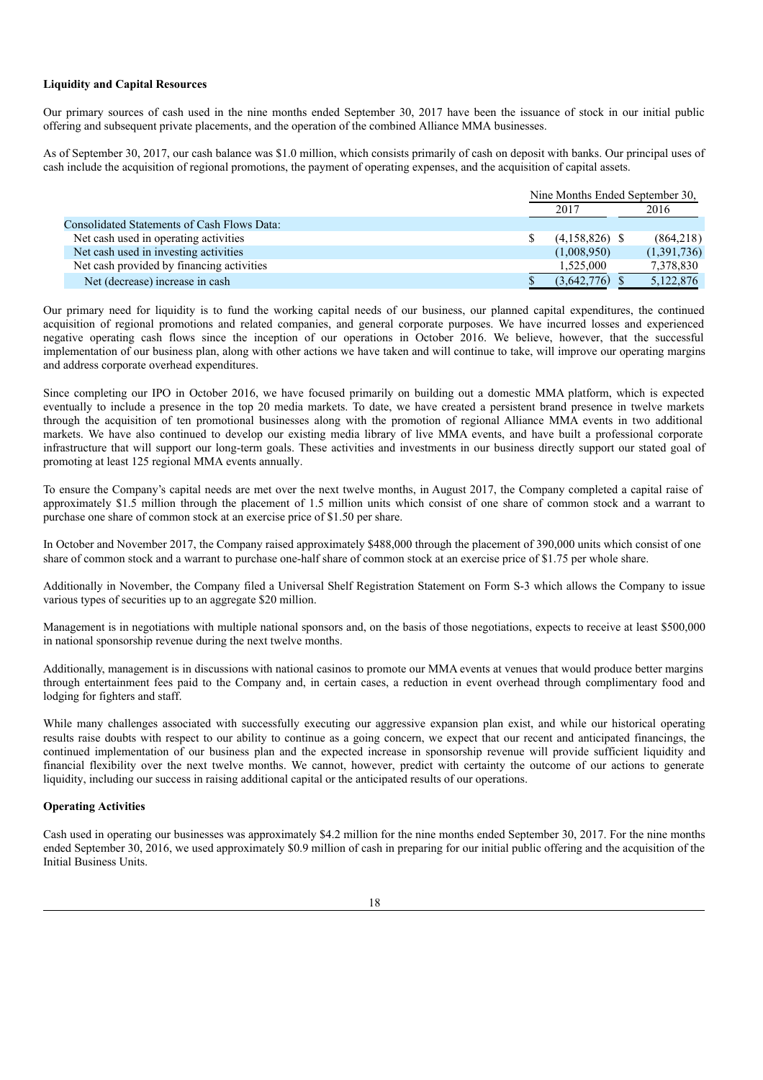# **Liquidity and Capital Resources**

Our primary sources of cash used in the nine months ended September 30, 2017 have been the issuance of stock in our initial public offering and subsequent private placements, and the operation of the combined Alliance MMA businesses.

As of September 30, 2017, our cash balance was \$1.0 million, which consists primarily of cash on deposit with banks. Our principal uses of cash include the acquisition of regional promotions, the payment of operating expenses, and the acquisition of capital assets.

|                                                    |      | Nine Months Ended September 30, |      |             |
|----------------------------------------------------|------|---------------------------------|------|-------------|
|                                                    | 2017 |                                 | 2016 |             |
| <b>Consolidated Statements of Cash Flows Data:</b> |      |                                 |      |             |
| Net cash used in operating activities              |      | $(4,158,826)$ \$                |      | (864,218)   |
| Net cash used in investing activities              |      | (1,008,950)                     |      | (1,391,736) |
| Net cash provided by financing activities          |      | 1.525,000                       |      | 7,378,830   |
| Net (decrease) increase in cash                    |      | (3,642,776)                     |      | 5,122,876   |

Our primary need for liquidity is to fund the working capital needs of our business, our planned capital expenditures, the continued acquisition of regional promotions and related companies, and general corporate purposes. We have incurred losses and experienced negative operating cash flows since the inception of our operations in October 2016. We believe, however, that the successful implementation of our business plan, along with other actions we have taken and will continue to take, will improve our operating margins and address corporate overhead expenditures.

Since completing our IPO in October 2016, we have focused primarily on building out a domestic MMA platform, which is expected eventually to include a presence in the top 20 media markets. To date, we have created a persistent brand presence in twelve markets through the acquisition of ten promotional businesses along with the promotion of regional Alliance MMA events in two additional markets. We have also continued to develop our existing media library of live MMA events, and have built a professional corporate infrastructure that will support our long-term goals. These activities and investments in our business directly support our stated goal of promoting at least 125 regional MMA events annually.

To ensure the Company's capital needs are met over the next twelve months, in August 2017, the Company completed a capital raise of approximately \$1.5 million through the placement of 1.5 million units which consist of one share of common stock and a warrant to purchase one share of common stock at an exercise price of \$1.50 per share.

In October and November 2017, the Company raised approximately \$488,000 through the placement of 390,000 units which consist of one share of common stock and a warrant to purchase one-half share of common stock at an exercise price of \$1.75 per whole share.

Additionally in November, the Company filed a Universal Shelf Registration Statement on Form S-3 which allows the Company to issue various types of securities up to an aggregate \$20 million.

Management is in negotiations with multiple national sponsors and, on the basis of those negotiations, expects to receive at least \$500,000 in national sponsorship revenue during the next twelve months.

Additionally, management is in discussions with national casinos to promote our MMA events at venues that would produce better margins through entertainment fees paid to the Company and, in certain cases, a reduction in event overhead through complimentary food and lodging for fighters and staff.

While many challenges associated with successfully executing our aggressive expansion plan exist, and while our historical operating results raise doubts with respect to our ability to continue as a going concern, we expect that our recent and anticipated financings, the continued implementation of our business plan and the expected increase in sponsorship revenue will provide sufficient liquidity and financial flexibility over the next twelve months. We cannot, however, predict with certainty the outcome of our actions to generate liquidity, including our success in raising additional capital or the anticipated results of our operations.

# **Operating Activities**

Cash used in operating our businesses was approximately \$4.2 million for the nine months ended September 30, 2017. For the nine months ended September 30, 2016, we used approximately \$0.9 million of cash in preparing for our initial public offering and the acquisition of the Initial Business Units.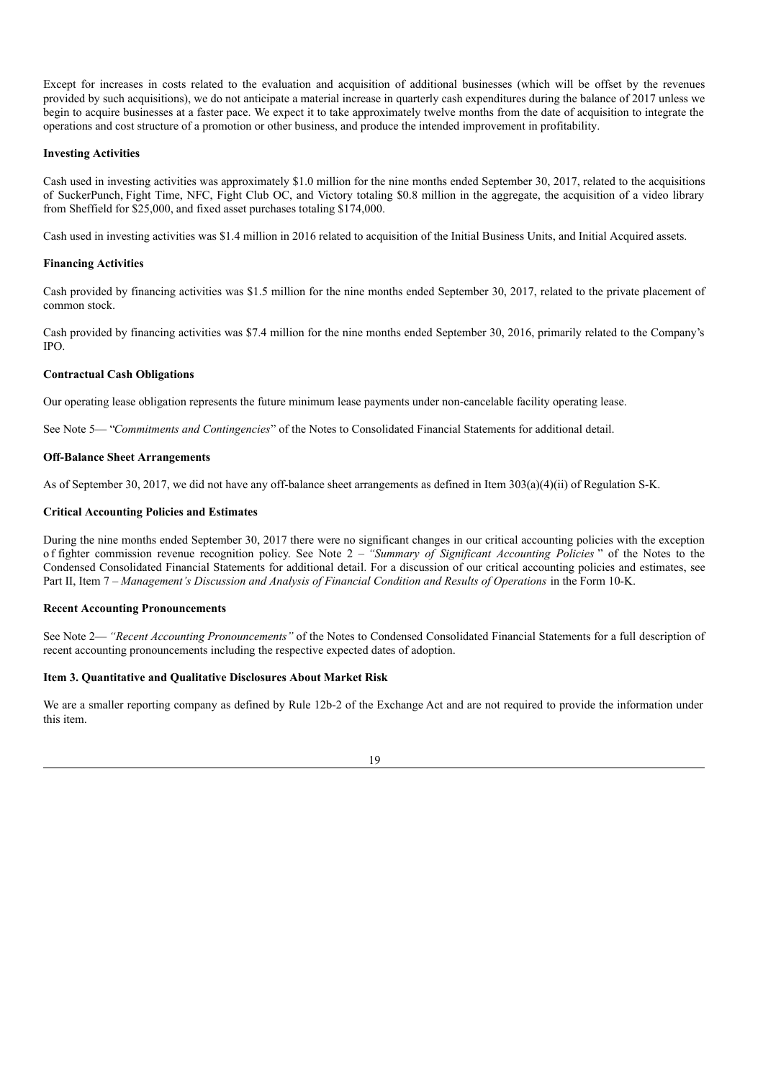Except for increases in costs related to the evaluation and acquisition of additional businesses (which will be offset by the revenues provided by such acquisitions), we do not anticipate a material increase in quarterly cash expenditures during the balance of 2017 unless we begin to acquire businesses at a faster pace. We expect it to take approximately twelve months from the date of acquisition to integrate the operations and cost structure of a promotion or other business, and produce the intended improvement in profitability.

# **Investing Activities**

Cash used in investing activities was approximately \$1.0 million for the nine months ended September 30, 2017, related to the acquisitions of SuckerPunch, Fight Time, NFC, Fight Club OC, and Victory totaling \$0.8 million in the aggregate, the acquisition of a video library from Sheffield for \$25,000, and fixed asset purchases totaling \$174,000.

Cash used in investing activities was \$1.4 million in 2016 related to acquisition of the Initial Business Units, and Initial Acquired assets.

# **Financing Activities**

Cash provided by financing activities was \$1.5 million for the nine months ended September 30, 2017, related to the private placement of common stock.

Cash provided by financing activities was \$7.4 million for the nine months ended September 30, 2016, primarily related to the Company's IPO.

# **Contractual Cash Obligations**

Our operating lease obligation represents the future minimum lease payments under non-cancelable facility operating lease.

See Note 5— "*Commitments and Contingencies*" of the Notes to Consolidated Financial Statements for additional detail.

# **Off-Balance Sheet Arrangements**

As of September 30, 2017, we did not have any off-balance sheet arrangements as defined in Item 303(a)(4)(ii) of Regulation S-K.

#### **Critical Accounting Policies and Estimates**

During the nine months ended September 30, 2017 there were no significant changes in our critical accounting policies with the exception of fighter commission revenue recognition policy. See Note 2 – *"Summary of Significant Accounting Policies* " of the Notes to the Condensed Consolidated Financial Statements for additional detail. For a discussion of our critical accounting policies and estimates, see Part II, Item 7 – *Management's Discussion and Analysis of Financial Condition and Results of Operations* in the Form 10-K.

# **Recent Accounting Pronouncements**

See Note 2— *"Recent Accounting Pronouncements"* of the Notes to Condensed Consolidated Financial Statements for a full description of recent accounting pronouncements including the respective expected dates of adoption.

# **Item 3. Quantitative and Qualitative Disclosures About Market Risk**

We are a smaller reporting company as defined by Rule 12b-2 of the Exchange Act and are not required to provide the information under this item.

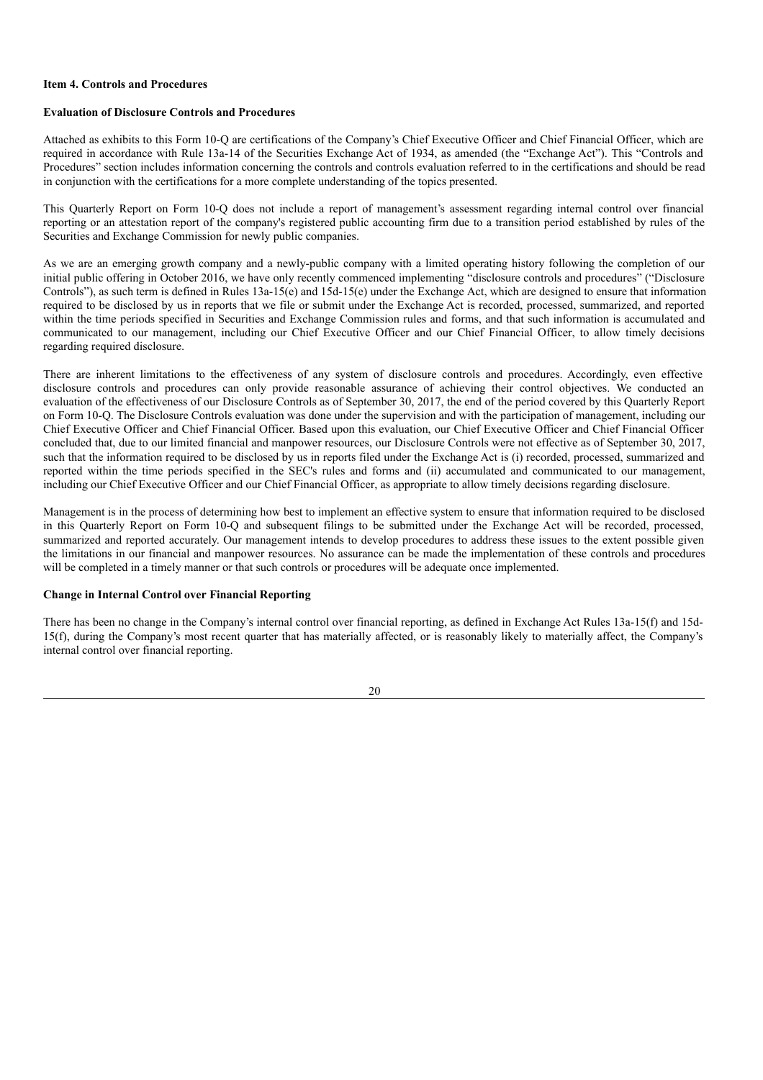#### **Item 4. Controls and Procedures**

### **Evaluation of Disclosure Controls and Procedures**

Attached as exhibits to this Form 10-Q are certifications of the Company's Chief Executive Officer and Chief Financial Officer, which are required in accordance with Rule 13a-14 of the Securities Exchange Act of 1934, as amended (the "Exchange Act"). This "Controls and Procedures" section includes information concerning the controls and controls evaluation referred to in the certifications and should be read in conjunction with the certifications for a more complete understanding of the topics presented.

This Quarterly Report on Form 10-Q does not include a report of management's assessment regarding internal control over financial reporting or an attestation report of the company's registered public accounting firm due to a transition period established by rules of the Securities and Exchange Commission for newly public companies.

As we are an emerging growth company and a newly-public company with a limited operating history following the completion of our initial public offering in October 2016, we have only recently commenced implementing "disclosure controls and procedures" ("Disclosure Controls"), as such term is defined in Rules  $13a-15(e)$  and  $15d-15(e)$  under the Exchange Act, which are designed to ensure that information required to be disclosed by us in reports that we file or submit under the Exchange Act is recorded, processed, summarized, and reported within the time periods specified in Securities and Exchange Commission rules and forms, and that such information is accumulated and communicated to our management, including our Chief Executive Officer and our Chief Financial Officer, to allow timely decisions regarding required disclosure.

There are inherent limitations to the effectiveness of any system of disclosure controls and procedures. Accordingly, even effective disclosure controls and procedures can only provide reasonable assurance of achieving their control objectives. We conducted an evaluation of the effectiveness of our Disclosure Controls as of September 30, 2017, the end of the period covered by this Quarterly Report on Form 10-Q. The Disclosure Controls evaluation was done under the supervision and with the participation of management, including our Chief Executive Officer and Chief Financial Officer. Based upon this evaluation, our Chief Executive Officer and Chief Financial Officer concluded that, due to our limited financial and manpower resources, our Disclosure Controls were not effective as of September 30, 2017, such that the information required to be disclosed by us in reports filed under the Exchange Act is (i) recorded, processed, summarized and reported within the time periods specified in the SEC's rules and forms and (ii) accumulated and communicated to our management, including our Chief Executive Officer and our Chief Financial Officer, as appropriate to allow timely decisions regarding disclosure.

Management is in the process of determining how best to implement an effective system to ensure that information required to be disclosed in this Quarterly Report on Form 10-Q and subsequent filings to be submitted under the Exchange Act will be recorded, processed, summarized and reported accurately. Our management intends to develop procedures to address these issues to the extent possible given the limitations in our financial and manpower resources. No assurance can be made the implementation of these controls and procedures will be completed in a timely manner or that such controls or procedures will be adequate once implemented.

# **Change in Internal Control over Financial Reporting**

There has been no change in the Company's internal control over financial reporting, as defined in Exchange Act Rules 13a-15(f) and 15d-15(f), during the Company's most recent quarter that has materially affected, or is reasonably likely to materially affect, the Company's internal control over financial reporting.

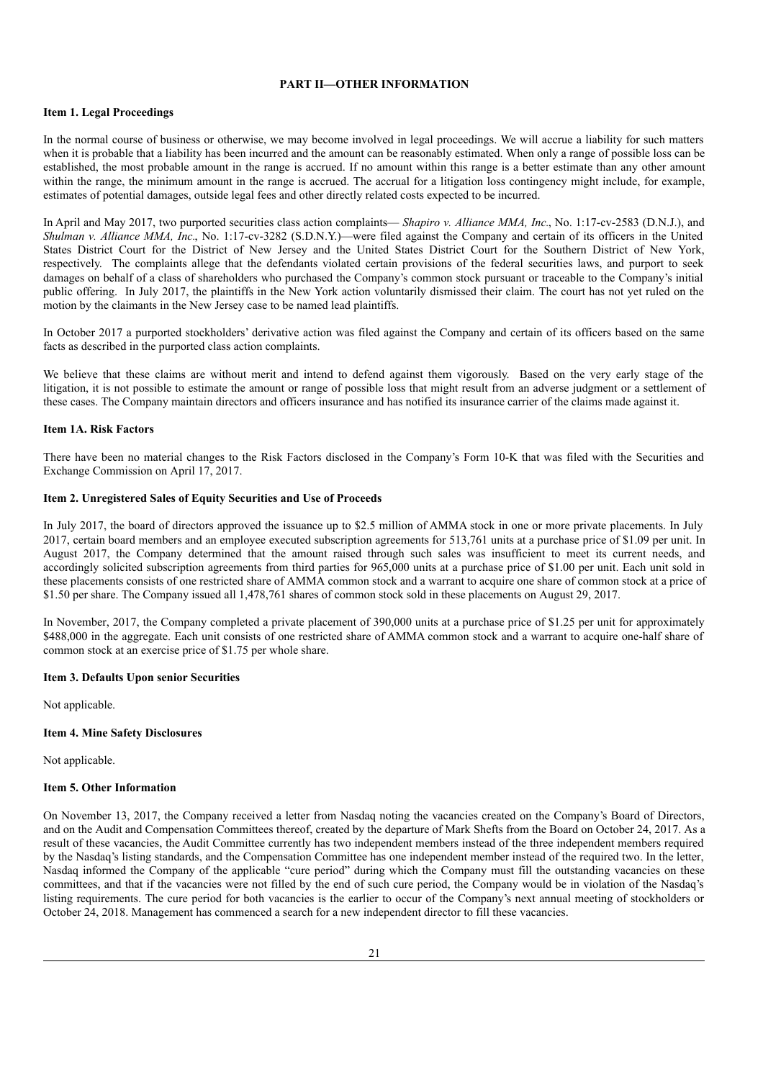# **PART II—OTHER INFORMATION**

# **Item 1. Legal Proceedings**

In the normal course of business or otherwise, we may become involved in legal proceedings. We will accrue a liability for such matters when it is probable that a liability has been incurred and the amount can be reasonably estimated. When only a range of possible loss can be established, the most probable amount in the range is accrued. If no amount within this range is a better estimate than any other amount within the range, the minimum amount in the range is accrued. The accrual for a litigation loss contingency might include, for example, estimates of potential damages, outside legal fees and other directly related costs expected to be incurred.

In April and May 2017, two purported securities class action complaints— *Shapiro v. Alliance MMA, Inc.*, No. 1:17-cv-2583 (D.N.J.), and *Shulman v. Alliance MMA, Inc.*, No. 1:17-cv-3282 (S.D.N.Y.)—were filed against the Company and certain of its officers in the United States District Court for the District of New Jersey and the United States District Court for the Southern District of New York, respectively. The complaints allege that the defendants violated certain provisions of the federal securities laws, and purport to seek damages on behalf of a class of shareholders who purchased the Company's common stock pursuant or traceable to the Company's initial public offering. In July 2017, the plaintiffs in the New York action voluntarily dismissed their claim. The court has not yet ruled on the motion by the claimants in the New Jersey case to be named lead plaintiffs.

In October 2017 a purported stockholders' derivative action was filed against the Company and certain of its officers based on the same facts as described in the purported class action complaints.

We believe that these claims are without merit and intend to defend against them vigorously. Based on the very early stage of the litigation, it is not possible to estimate the amount or range of possible loss that might result from an adverse judgment or a settlement of these cases. The Company maintain directors and officers insurance and has notified its insurance carrier of the claims made against it.

# **Item 1A. Risk Factors**

There have been no material changes to the Risk Factors disclosed in the Company's Form 10-K that was filed with the Securities and Exchange Commission on April 17, 2017.

# **Item 2. Unregistered Sales of Equity Securities and Use of Proceeds**

In July 2017, the board of directors approved the issuance up to \$2.5 million of AMMA stock in one or more private placements. In July 2017, certain board members and an employee executed subscription agreements for 513,761 units at a purchase price of \$1.09 per unit. In August 2017, the Company determined that the amount raised through such sales was insufficient to meet its current needs, and accordingly solicited subscription agreements from third parties for 965,000 units at a purchase price of \$1.00 per unit. Each unit sold in these placements consists of one restricted share of AMMA common stock and a warrant to acquire one share of common stock at a price of \$1.50 per share. The Company issued all 1,478,761 shares of common stock sold in these placements on August 29, 2017.

In November, 2017, the Company completed a private placement of 390,000 units at a purchase price of \$1.25 per unit for approximately \$488,000 in the aggregate. Each unit consists of one restricted share of AMMA common stock and a warrant to acquire one-half share of common stock at an exercise price of \$1.75 per whole share.

#### **Item 3. Defaults Upon senior Securities**

Not applicable.

#### **Item 4. Mine Safety Disclosures**

Not applicable.

#### **Item 5. Other Information**

On November 13, 2017, the Company received a letter from Nasdaq noting the vacancies created on the Company's Board of Directors, and on the Audit and Compensation Committees thereof, created by the departure of Mark Shefts from the Board on October 24, 2017. As a result of these vacancies, the Audit Committee currently has two independent members instead of the three independent members required by the Nasdaq's listing standards, and the Compensation Committee has one independent member instead of the required two. In the letter, Nasdaq informed the Company of the applicable "cure period" during which the Company must fill the outstanding vacancies on these committees, and that if the vacancies were not filled by the end of such cure period, the Company would be in violation of the Nasdaq's listing requirements. The cure period for both vacancies is the earlier to occur of the Company's next annual meeting of stockholders or October 24, 2018. Management has commenced a search for a new independent director to fill these vacancies.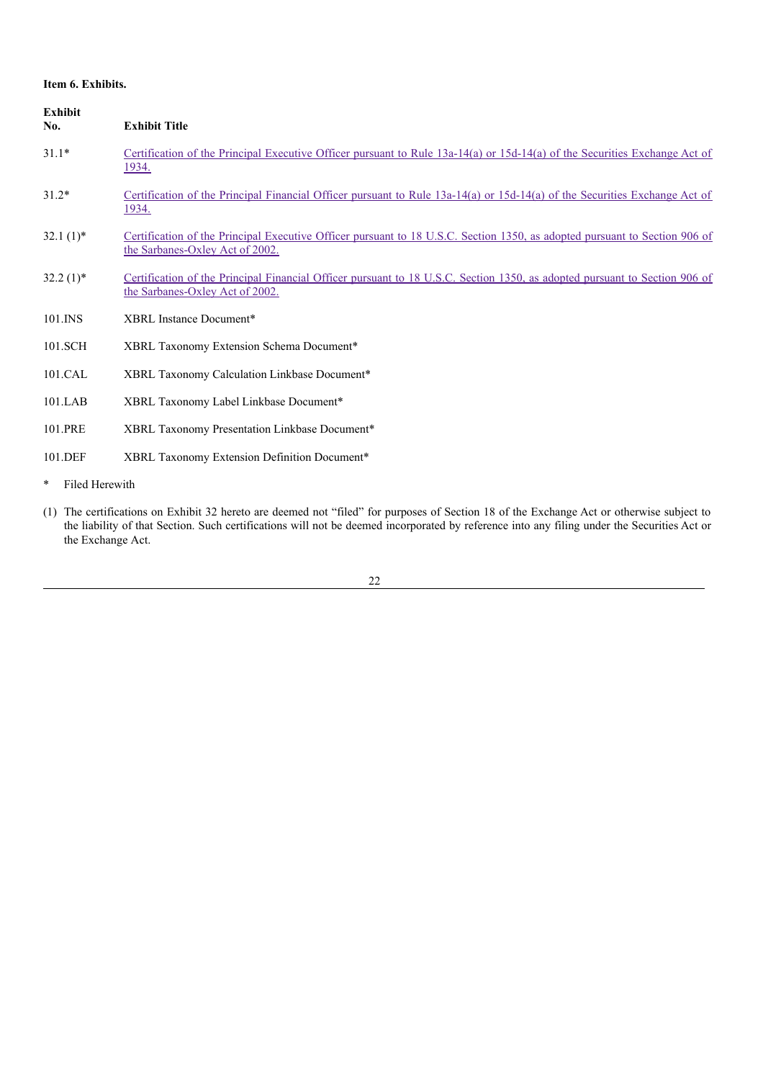# **Item 6. Exhibits.**

| <b>Exhibit</b><br>No.    | <b>Exhibit Title</b>                                                                                                                                          |
|--------------------------|---------------------------------------------------------------------------------------------------------------------------------------------------------------|
| $31.1*$                  | Certification of the Principal Executive Officer pursuant to Rule 13a-14(a) or 15d-14(a) of the Securities Exchange Act of<br>1934.                           |
| $31.2*$                  | Certification of the Principal Financial Officer pursuant to Rule 13a-14(a) or 15d-14(a) of the Securities Exchange Act of<br>1934.                           |
| $32.1(1)^*$              | Certification of the Principal Executive Officer pursuant to 18 U.S.C. Section 1350, as adopted pursuant to Section 906 of<br>the Sarbanes-Oxley Act of 2002. |
| $32.2(1)$ *              | Certification of the Principal Financial Officer pursuant to 18 U.S.C. Section 1350, as adopted pursuant to Section 906 of<br>the Sarbanes-Oxley Act of 2002. |
| 101.INS                  | XBRL Instance Document*                                                                                                                                       |
| 101.SCH                  | XBRL Taxonomy Extension Schema Document*                                                                                                                      |
| 101.CAL                  | XBRL Taxonomy Calculation Linkbase Document*                                                                                                                  |
| 101.LAB                  | XBRL Taxonomy Label Linkbase Document*                                                                                                                        |
| 101.PRE                  | XBRL Taxonomy Presentation Linkbase Document*                                                                                                                 |
| 101.DEF                  | XBRL Taxonomy Extension Definition Document*                                                                                                                  |
| Filed Herewith<br>$\ast$ |                                                                                                                                                               |

(1) The certifications on Exhibit 32 hereto are deemed not "filed" for purposes of Section 18 of the Exchange Act or otherwise subject to the liability of that Section. Such certifications will not be deemed incorporated by reference into any filing under the Securities Act or the Exchange Act.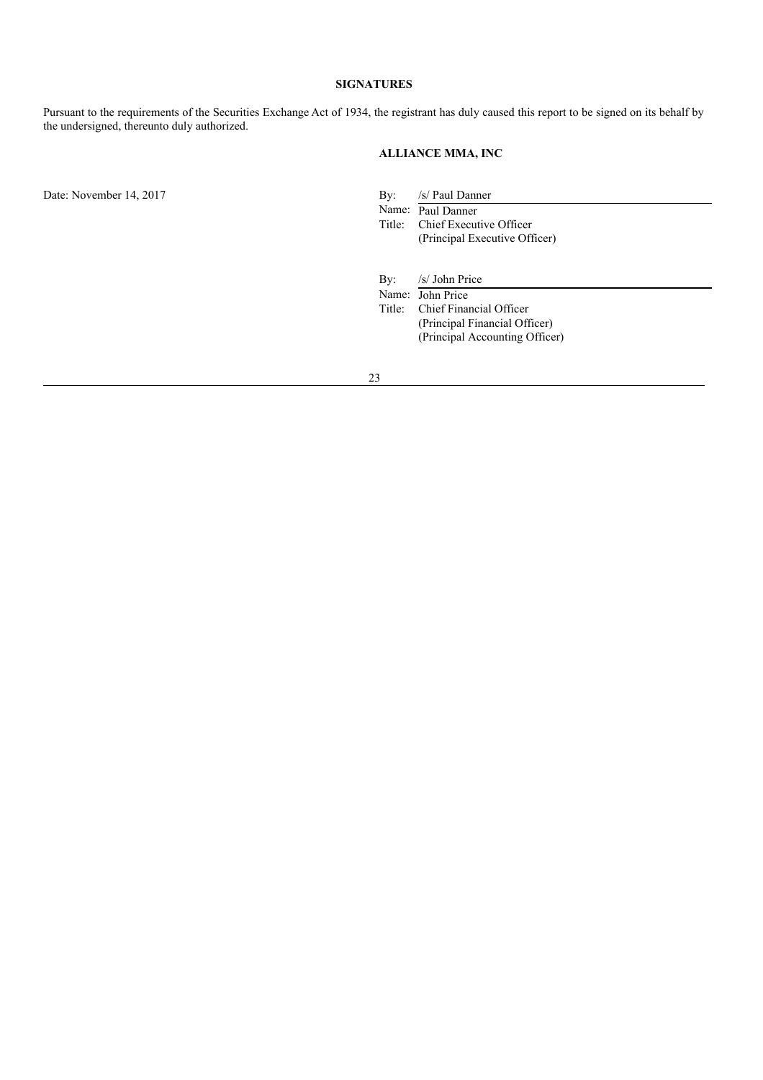# **SIGNATURES**

Pursuant to the requirements of the Securities Exchange Act of 1934, the registrant has duly caused this report to be signed on its behalf by the undersigned, thereunto duly authorized.

# **ALLIANCE MMA, INC**

Date: November 14, 2017 By: /s/ Paul Danner

Name: Paul Danner Title: Chief Executive Officer (Principal Executive Officer)

By: /s/ John Price

Name: John Price Title: Chief Financial Officer (Principal Financial Officer) (Principal Accounting Officer)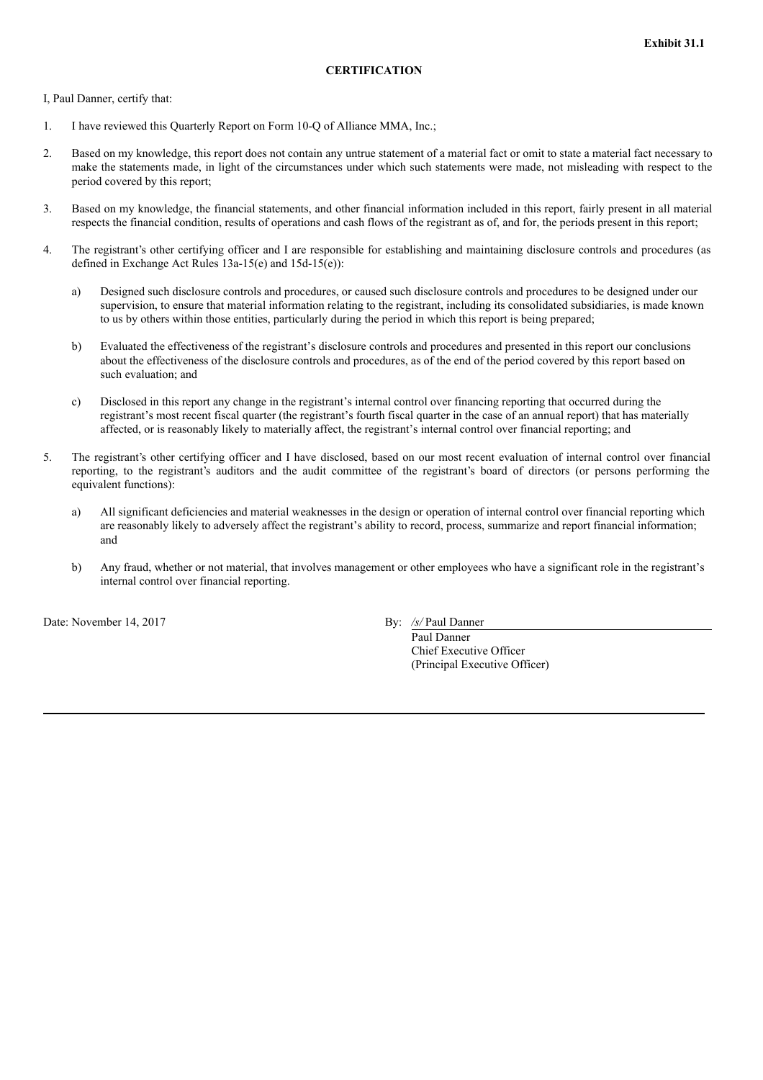# **CERTIFICATION**

I, Paul Danner, certify that:

- 1. I have reviewed this Quarterly Report on Form 10-Q of Alliance MMA, Inc.;
- 2. Based on my knowledge, this report does not contain any untrue statement of a material fact or omit to state a material fact necessary to make the statements made, in light of the circumstances under which such statements were made, not misleading with respect to the period covered by this report;
- 3. Based on my knowledge, the financial statements, and other financial information included in this report, fairly present in all material respects the financial condition, results of operations and cash flows of the registrant as of, and for, the periods present in this report;
- 4. The registrant's other certifying officer and I are responsible for establishing and maintaining disclosure controls and procedures (as defined in Exchange Act Rules 13a-15(e) and 15d-15(e)):
	- a) Designed such disclosure controls and procedures, or caused such disclosure controls and procedures to be designed under our supervision, to ensure that material information relating to the registrant, including its consolidated subsidiaries, is made known to us by others within those entities, particularly during the period in which this report is being prepared;
	- b) Evaluated the effectiveness of the registrant's disclosure controls and procedures and presented in this report our conclusions about the effectiveness of the disclosure controls and procedures, as of the end of the period covered by this report based on such evaluation; and
	- c) Disclosed in this report any change in the registrant's internal control over financing reporting that occurred during the registrant's most recent fiscal quarter (the registrant's fourth fiscal quarter in the case of an annual report) that has materially affected, or is reasonably likely to materially affect, the registrant's internal control over financial reporting; and
- 5. The registrant's other certifying officer and I have disclosed, based on our most recent evaluation of internal control over financial reporting, to the registrant's auditors and the audit committee of the registrant's board of directors (or persons performing the equivalent functions):
	- a) All significant deficiencies and material weaknesses in the design or operation of internal control over financial reporting which are reasonably likely to adversely affect the registrant's ability to record, process, summarize and report financial information; and
	- b) Any fraud, whether or not material, that involves management or other employees who have a significant role in the registrant's internal control over financial reporting.

Date: November 14, 2017 By: /s/Paul Danner

Paul Danner Chief Executive Officer (Principal Executive Officer)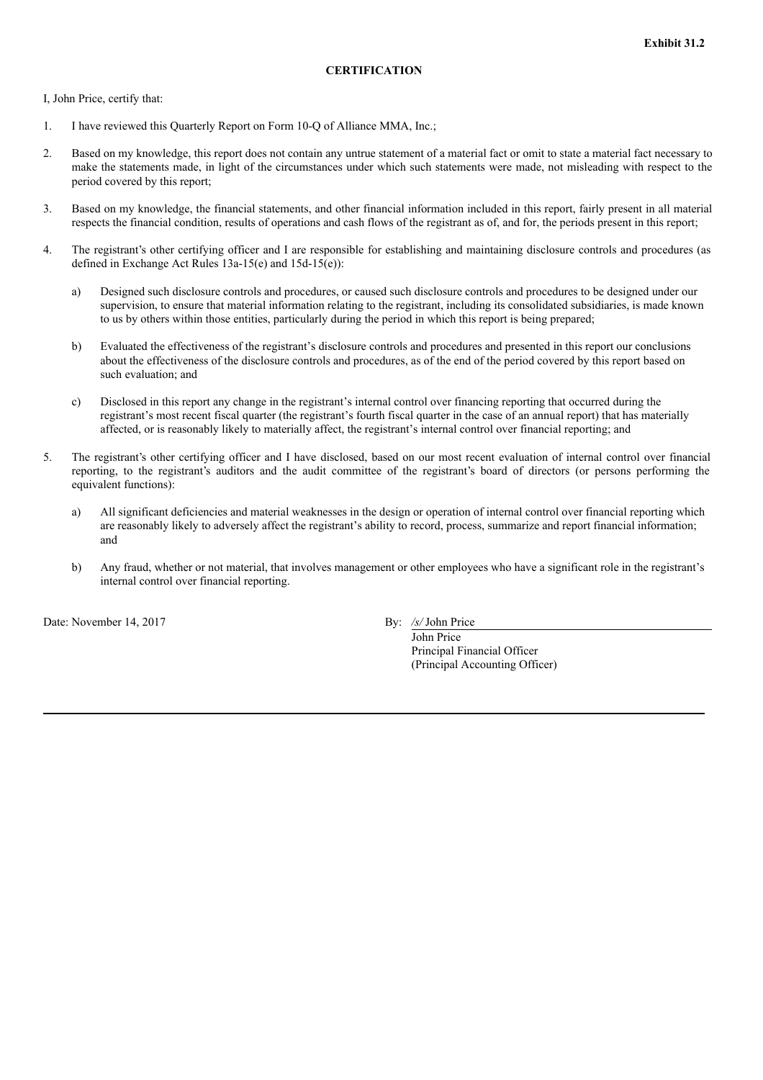# **CERTIFICATION**

I, John Price, certify that:

- 1. I have reviewed this Quarterly Report on Form 10-Q of Alliance MMA, Inc.;
- 2. Based on my knowledge, this report does not contain any untrue statement of a material fact or omit to state a material fact necessary to make the statements made, in light of the circumstances under which such statements were made, not misleading with respect to the period covered by this report;
- 3. Based on my knowledge, the financial statements, and other financial information included in this report, fairly present in all material respects the financial condition, results of operations and cash flows of the registrant as of, and for, the periods present in this report;
- 4. The registrant's other certifying officer and I are responsible for establishing and maintaining disclosure controls and procedures (as defined in Exchange Act Rules 13a-15(e) and 15d-15(e)):
	- a) Designed such disclosure controls and procedures, or caused such disclosure controls and procedures to be designed under our supervision, to ensure that material information relating to the registrant, including its consolidated subsidiaries, is made known to us by others within those entities, particularly during the period in which this report is being prepared;
	- b) Evaluated the effectiveness of the registrant's disclosure controls and procedures and presented in this report our conclusions about the effectiveness of the disclosure controls and procedures, as of the end of the period covered by this report based on such evaluation; and
	- c) Disclosed in this report any change in the registrant's internal control over financing reporting that occurred during the registrant's most recent fiscal quarter (the registrant's fourth fiscal quarter in the case of an annual report) that has materially affected, or is reasonably likely to materially affect, the registrant's internal control over financial reporting; and
- 5. The registrant's other certifying officer and I have disclosed, based on our most recent evaluation of internal control over financial reporting, to the registrant's auditors and the audit committee of the registrant's board of directors (or persons performing the equivalent functions):
	- a) All significant deficiencies and material weaknesses in the design or operation of internal control over financial reporting which are reasonably likely to adversely affect the registrant's ability to record, process, summarize and report financial information; and
	- b) Any fraud, whether or not material, that involves management or other employees who have a significant role in the registrant's internal control over financial reporting.

Date: November 14, 2017 By: /s/John Price

John Price Principal Financial Officer (Principal Accounting Officer)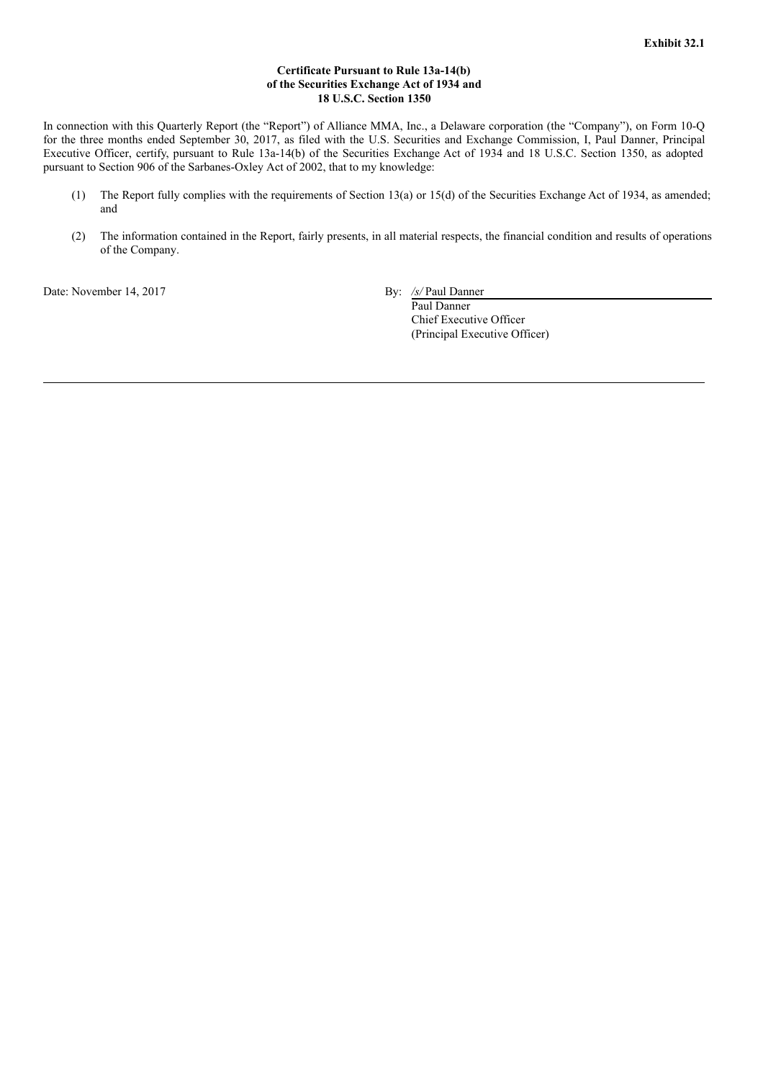### **Certificate Pursuant to Rule 13a-14(b) of the Securities Exchange Act of 1934 and 18 U.S.C. Section 1350**

In connection with this Quarterly Report (the "Report") of Alliance MMA, Inc., a Delaware corporation (the "Company"), on Form 10-Q for the three months ended September 30, 2017, as filed with the U.S. Securities and Exchange Commission, I, Paul Danner, Principal Executive Officer, certify, pursuant to Rule 13a-14(b) of the Securities Exchange Act of 1934 and 18 U.S.C. Section 1350, as adopted pursuant to Section 906 of the Sarbanes-Oxley Act of 2002, that to my knowledge:

- (1) The Report fully complies with the requirements of Section 13(a) or 15(d) of the Securities Exchange Act of 1934, as amended; and
- (2) The information contained in the Report, fairly presents, in all material respects, the financial condition and results of operations of the Company.

Date: November 14, 2017 By: /s/Paul Danner

Paul Danner Chief Executive Officer (Principal Executive Officer)